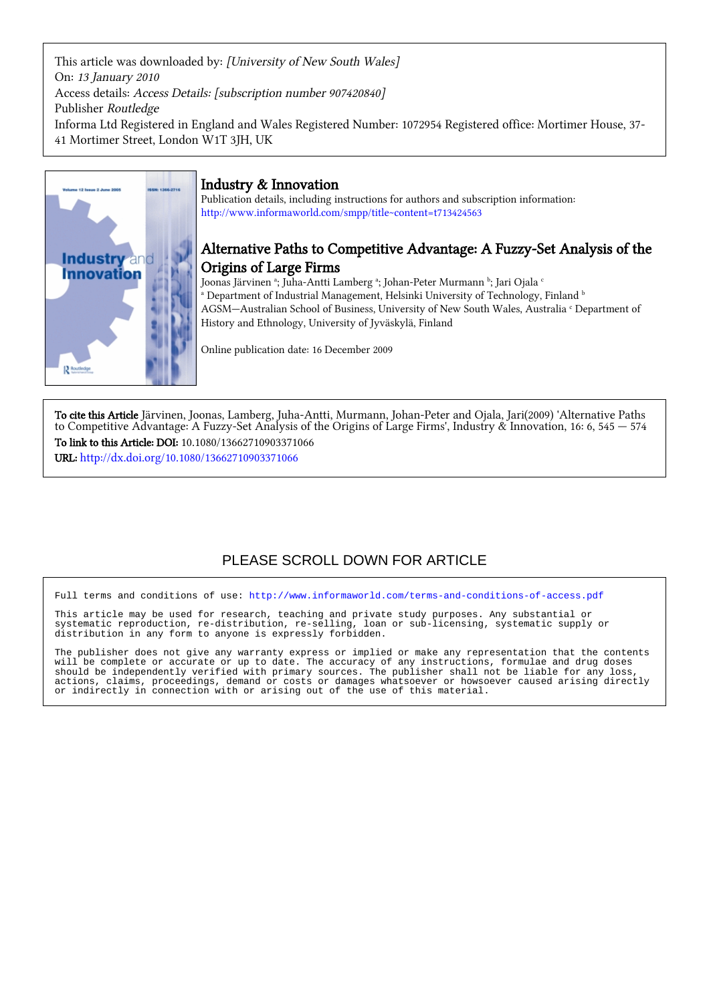This article was downloaded by: [University of New South Wales] On: 13 January 2010 Access details: Access Details: [subscription number 907420840] Publisher Routledge Informa Ltd Registered in England and Wales Registered Number: 1072954 Registered office: Mortimer House, 37- 41 Mortimer Street, London W1T 3JH, UK



### Industry & Innovation

Publication details, including instructions for authors and subscription information: <http://www.informaworld.com/smpp/title~content=t713424563>

## Alternative Paths to Competitive Advantage: A Fuzzy-Set Analysis of the Origins of Large Firms

Joonas Järvinen ª; Juha-Antti Lamberg ª; Johan-Peter Murmann ʰ; Jari Ojala <sup>c</sup> <sup>a</sup> Department of Industrial Management, Helsinki University of Technology, Finland b AGSM—Australian School of Business, University of New South Wales, Australia <sup>c</sup> Department of History and Ethnology, University of Jyväskylä, Finland

Online publication date: 16 December 2009

To cite this Article Järvinen, Joonas, Lamberg, Juha-Antti, Murmann, Johan-Peter and Ojala, Jari(2009) 'Alternative Paths to Competitive Advantage: A Fuzzy-Set Analysis of the Origins of Large Firms', Industry & Innovation, 16: 6, 545 — 574 To link to this Article: DOI: 10.1080/13662710903371066

URL: <http://dx.doi.org/10.1080/13662710903371066>

## PLEASE SCROLL DOWN FOR ARTICLE

Full terms and conditions of use:<http://www.informaworld.com/terms-and-conditions-of-access.pdf>

This article may be used for research, teaching and private study purposes. Any substantial or systematic reproduction, re-distribution, re-selling, loan or sub-licensing, systematic supply or distribution in any form to anyone is expressly forbidden.

The publisher does not give any warranty express or implied or make any representation that the contents will be complete or accurate or up to date. The accuracy of any instructions, formulae and drug doses should be independently verified with primary sources. The publisher shall not be liable for any loss, actions, claims, proceedings, demand or costs or damages whatsoever or howsoever caused arising directly or indirectly in connection with or arising out of the use of this material.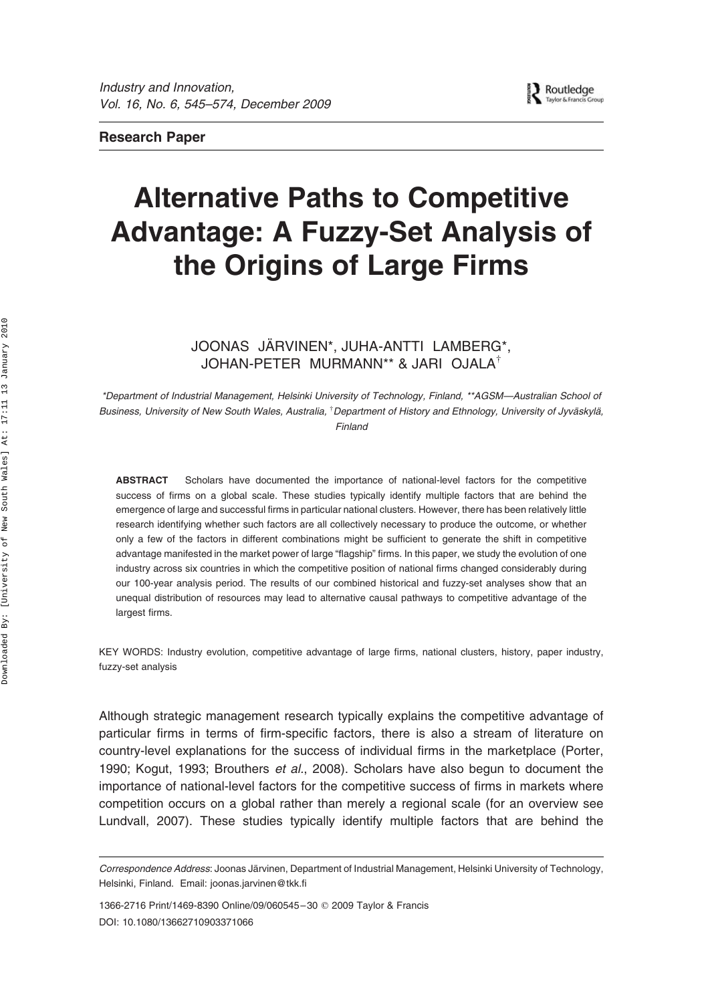Research Paper

## Routledge<br>Taylor & Francis Group

# Alternative Paths to Competitive Advantage: A Fuzzy-Set Analysis of the Origins of Large Firms

JOONAS JÄRVINEN\*, JUHA-ANTTI LAMBERG\* JOHAN-PETER MURMANN\*\* & JARI OJALA†

\*Department of Industrial Management, Helsinki University of Technology, Finland, \*\*AGSM—Australian School of Business, University of New South Wales, Australia, <sup>†</sup>Department of History and Ethnology, University of Jyväskylä, Finland

ABSTRACT Scholars have documented the importance of national-level factors for the competitive success of firms on a global scale. These studies typically identify multiple factors that are behind the emergence of large and successful firms in particular national clusters. However, there has been relatively little research identifying whether such factors are all collectively necessary to produce the outcome, or whether only a few of the factors in different combinations might be sufficient to generate the shift in competitive advantage manifested in the market power of large "flagship" firms. In this paper, we study the evolution of one industry across six countries in which the competitive position of national firms changed considerably during our 100-year analysis period. The results of our combined historical and fuzzy-set analyses show that an unequal distribution of resources may lead to alternative causal pathways to competitive advantage of the largest firms.

KEY WORDS: Industry evolution, competitive advantage of large firms, national clusters, history, paper industry, fuzzy-set analysis

Although strategic management research typically explains the competitive advantage of particular firms in terms of firm-specific factors, there is also a stream of literature on country-level explanations for the success of individual firms in the marketplace (Porter, 1990; Kogut, 1993; Brouthers et al., 2008). Scholars have also begun to document the importance of national-level factors for the competitive success of firms in markets where competition occurs on a global rather than merely a regional scale (for an overview see Lundvall, 2007). These studies typically identify multiple factors that are behind the

1366-2716 Print/1469-8390 Online/09/060545–30 q 2009 Taylor & Francis DOI: 10.1080/13662710903371066

Correspondence Address: Joonas Järvinen, Department of Industrial Management, Helsinki University of Technology, Helsinki, Finland. Email: joonas.jarvinen@tkk.fi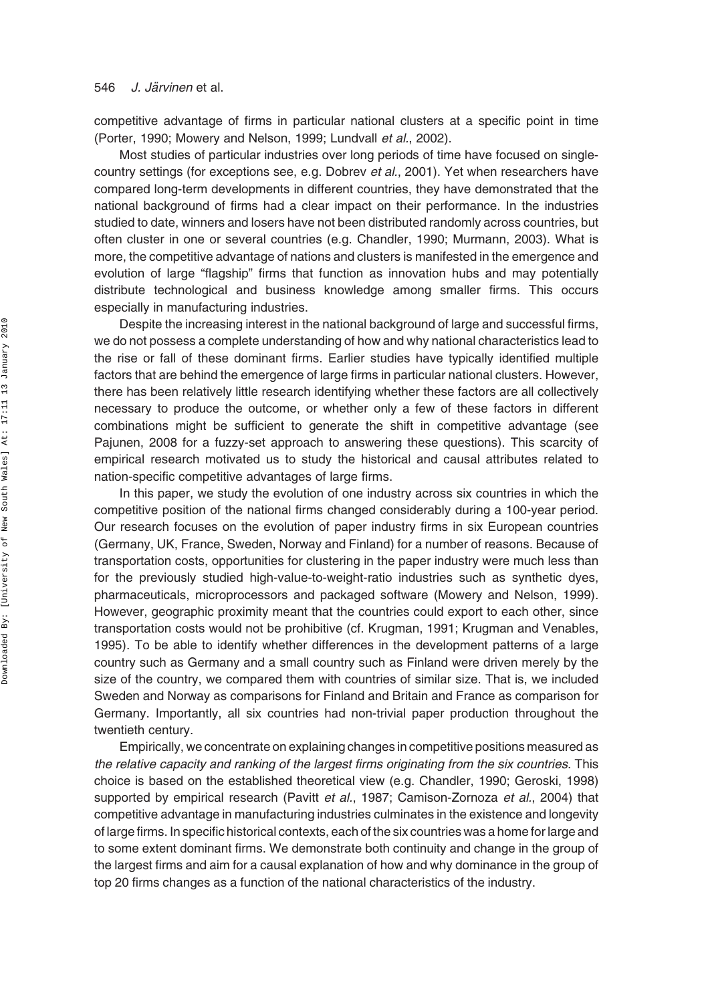competitive advantage of firms in particular national clusters at a specific point in time (Porter, 1990; Mowery and Nelson, 1999; Lundvall et al., 2002).

Most studies of particular industries over long periods of time have focused on singlecountry settings (for exceptions see, e.g. Dobrev et al., 2001). Yet when researchers have compared long-term developments in different countries, they have demonstrated that the national background of firms had a clear impact on their performance. In the industries studied to date, winners and losers have not been distributed randomly across countries, but often cluster in one or several countries (e.g. Chandler, 1990; Murmann, 2003). What is more, the competitive advantage of nations and clusters is manifested in the emergence and evolution of large "flagship" firms that function as innovation hubs and may potentially distribute technological and business knowledge among smaller firms. This occurs especially in manufacturing industries.

Despite the increasing interest in the national background of large and successful firms. we do not possess a complete understanding of how and why national characteristics lead to the rise or fall of these dominant firms. Earlier studies have typically identified multiple factors that are behind the emergence of large firms in particular national clusters. However, there has been relatively little research identifying whether these factors are all collectively necessary to produce the outcome, or whether only a few of these factors in different combinations might be sufficient to generate the shift in competitive advantage (see Pajunen, 2008 for a fuzzy-set approach to answering these questions). This scarcity of empirical research motivated us to study the historical and causal attributes related to nation-specific competitive advantages of large firms.

In this paper, we study the evolution of one industry across six countries in which the competitive position of the national firms changed considerably during a 100-year period. Our research focuses on the evolution of paper industry firms in six European countries (Germany, UK, France, Sweden, Norway and Finland) for a number of reasons. Because of transportation costs, opportunities for clustering in the paper industry were much less than for the previously studied high-value-to-weight-ratio industries such as synthetic dyes, pharmaceuticals, microprocessors and packaged software (Mowery and Nelson, 1999). However, geographic proximity meant that the countries could export to each other, since transportation costs would not be prohibitive (cf. Krugman, 1991; Krugman and Venables, 1995). To be able to identify whether differences in the development patterns of a large country such as Germany and a small country such as Finland were driven merely by the size of the country, we compared them with countries of similar size. That is, we included Sweden and Norway as comparisons for Finland and Britain and France as comparison for Germany. Importantly, all six countries had non-trivial paper production throughout the twentieth century.

Empirically, we concentrate on explaining changes in competitive positions measured as the relative capacity and ranking of the largest firms originating from the six countries. This choice is based on the established theoretical view (e.g. Chandler, 1990; Geroski, 1998) supported by empirical research (Pavitt et al., 1987; Camison-Zornoza et al., 2004) that competitive advantage in manufacturing industries culminates in the existence and longevity of large firms. In specific historical contexts, each of the six countries was a home for large and to some extent dominant firms. We demonstrate both continuity and change in the group of the largest firms and aim for a causal explanation of how and why dominance in the group of top 20 firms changes as a function of the national characteristics of the industry.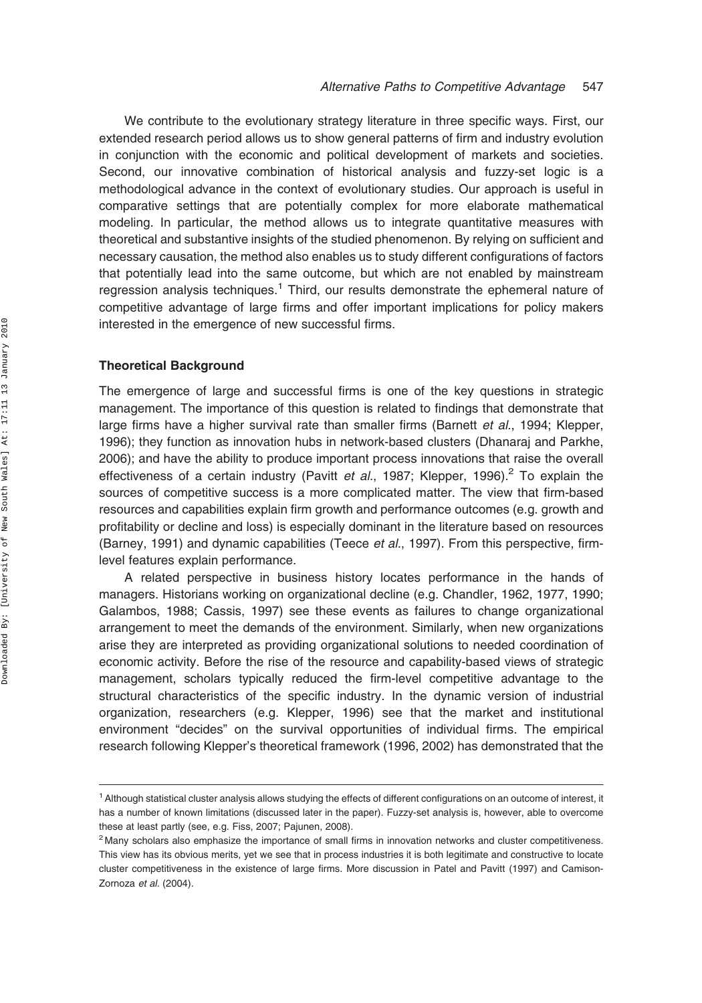We contribute to the evolutionary strategy literature in three specific ways. First, our extended research period allows us to show general patterns of firm and industry evolution in conjunction with the economic and political development of markets and societies. Second, our innovative combination of historical analysis and fuzzy-set logic is a methodological advance in the context of evolutionary studies. Our approach is useful in comparative settings that are potentially complex for more elaborate mathematical modeling. In particular, the method allows us to integrate quantitative measures with theoretical and substantive insights of the studied phenomenon. By relying on sufficient and necessary causation, the method also enables us to study different configurations of factors that potentially lead into the same outcome, but which are not enabled by mainstream regression analysis techniques.<sup>1</sup> Third, our results demonstrate the ephemeral nature of competitive advantage of large firms and offer important implications for policy makers interested in the emergence of new successful firms.

#### Theoretical Background

The emergence of large and successful firms is one of the key questions in strategic management. The importance of this question is related to findings that demonstrate that large firms have a higher survival rate than smaller firms (Barnett et al., 1994; Klepper, 1996); they function as innovation hubs in network-based clusters (Dhanaraj and Parkhe, 2006); and have the ability to produce important process innovations that raise the overall effectiveness of a certain industry (Pavitt et al., 1987; Klepper, 1996).<sup>2</sup> To explain the sources of competitive success is a more complicated matter. The view that firm-based resources and capabilities explain firm growth and performance outcomes (e.g. growth and profitability or decline and loss) is especially dominant in the literature based on resources (Barney, 1991) and dynamic capabilities (Teece et al., 1997). From this perspective, firmlevel features explain performance.

A related perspective in business history locates performance in the hands of managers. Historians working on organizational decline (e.g. Chandler, 1962, 1977, 1990; Galambos, 1988; Cassis, 1997) see these events as failures to change organizational arrangement to meet the demands of the environment. Similarly, when new organizations arise they are interpreted as providing organizational solutions to needed coordination of economic activity. Before the rise of the resource and capability-based views of strategic management, scholars typically reduced the firm-level competitive advantage to the structural characteristics of the specific industry. In the dynamic version of industrial organization, researchers (e.g. Klepper, 1996) see that the market and institutional environment "decides" on the survival opportunities of individual firms. The empirical research following Klepper's theoretical framework (1996, 2002) has demonstrated that the

<sup>&</sup>lt;sup>1</sup> Although statistical cluster analysis allows studying the effects of different configurations on an outcome of interest, it has a number of known limitations (discussed later in the paper). Fuzzy-set analysis is, however, able to overcome these at least partly (see, e.g. Fiss, 2007; Pajunen, 2008).

 $<sup>2</sup>$  Many scholars also emphasize the importance of small firms in innovation networks and cluster competitiveness.</sup> This view has its obvious merits, yet we see that in process industries it is both legitimate and constructive to locate cluster competitiveness in the existence of large firms. More discussion in Patel and Pavitt (1997) and Camison-Zornoza et al. (2004).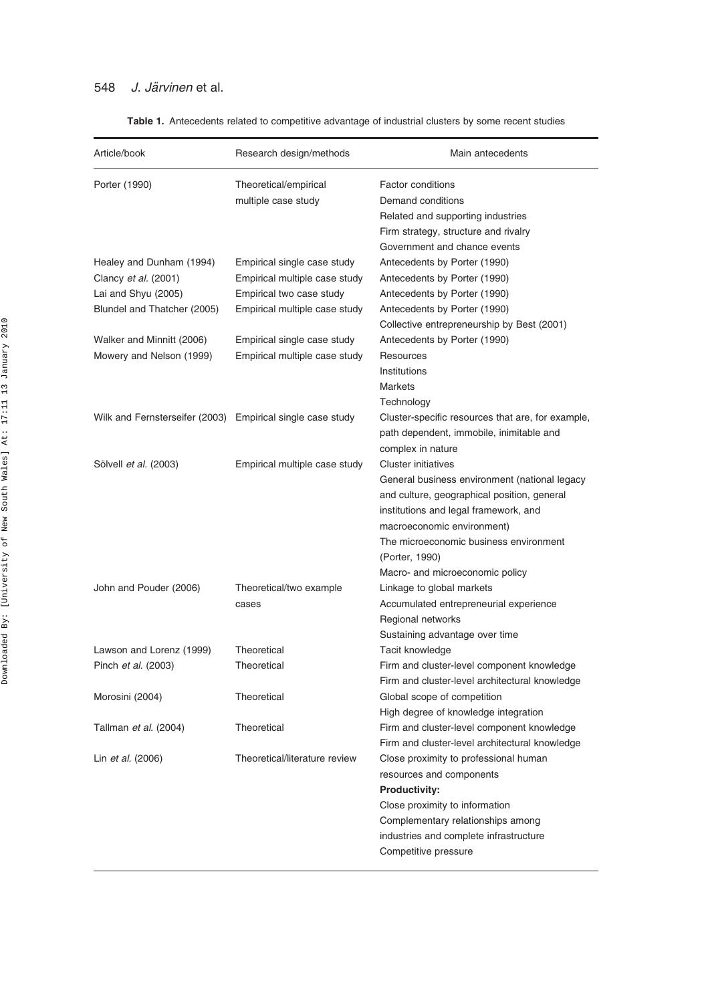#### 548 J. Järvinen et al.

| Article/book                                               | Research design/methods                      | Main antecedents                                                                                                                      |
|------------------------------------------------------------|----------------------------------------------|---------------------------------------------------------------------------------------------------------------------------------------|
| Porter (1990)                                              | Theoretical/empirical<br>multiple case study | <b>Factor conditions</b><br>Demand conditions<br>Related and supporting industries<br>Firm strategy, structure and rivalry            |
| Healey and Dunham (1994)                                   | Empirical single case study                  | Government and chance events<br>Antecedents by Porter (1990)                                                                          |
| Clancy et al. (2001)                                       | Empirical multiple case study                | Antecedents by Porter (1990)                                                                                                          |
| Lai and Shyu (2005)                                        | Empirical two case study                     | Antecedents by Porter (1990)                                                                                                          |
| Blundel and Thatcher (2005)                                | Empirical multiple case study                | Antecedents by Porter (1990)                                                                                                          |
|                                                            |                                              | Collective entrepreneurship by Best (2001)                                                                                            |
| Walker and Minnitt (2006)                                  | Empirical single case study                  | Antecedents by Porter (1990)                                                                                                          |
| Mowery and Nelson (1999)                                   | Empirical multiple case study                | Resources                                                                                                                             |
|                                                            |                                              | Institutions                                                                                                                          |
|                                                            |                                              | <b>Markets</b>                                                                                                                        |
|                                                            |                                              | Technology                                                                                                                            |
| Wilk and Fernsterseifer (2003) Empirical single case study |                                              | Cluster-specific resources that are, for example,<br>path dependent, immobile, inimitable and                                         |
|                                                            |                                              | complex in nature                                                                                                                     |
| Sölvell et al. (2003)                                      | Empirical multiple case study                | <b>Cluster initiatives</b>                                                                                                            |
|                                                            |                                              | General business environment (national legacy<br>and culture, geographical position, general<br>institutions and legal framework, and |
|                                                            |                                              | macroeconomic environment)                                                                                                            |
|                                                            |                                              | The microeconomic business environment<br>(Porter, 1990)                                                                              |
|                                                            |                                              | Macro- and microeconomic policy                                                                                                       |
| John and Pouder (2006)                                     | Theoretical/two example                      | Linkage to global markets                                                                                                             |
|                                                            | cases                                        | Accumulated entrepreneurial experience                                                                                                |
|                                                            |                                              | Regional networks                                                                                                                     |
|                                                            |                                              | Sustaining advantage over time                                                                                                        |
| Lawson and Lorenz (1999)                                   | Theoretical                                  | Tacit knowledge                                                                                                                       |
| Pinch et al. (2003)                                        | Theoretical                                  | Firm and cluster-level component knowledge<br>Firm and cluster-level architectural knowledge                                          |
| Morosini (2004)                                            | Theoretical                                  | Global scope of competition<br>High degree of knowledge integration                                                                   |
| Tallman et al. (2004)                                      | Theoretical                                  | Firm and cluster-level component knowledge                                                                                            |
|                                                            |                                              | Firm and cluster-level architectural knowledge                                                                                        |
| Lin et al. (2006)                                          | Theoretical/literature review                | Close proximity to professional human                                                                                                 |
|                                                            |                                              | resources and components                                                                                                              |
|                                                            |                                              | <b>Productivity:</b>                                                                                                                  |
|                                                            |                                              |                                                                                                                                       |
|                                                            |                                              | Close proximity to information                                                                                                        |
|                                                            |                                              | Complementary relationships among                                                                                                     |
|                                                            |                                              | industries and complete infrastructure                                                                                                |
|                                                            |                                              | Competitive pressure                                                                                                                  |

Table 1. Antecedents related to competitive advantage of industrial clusters by some recent studies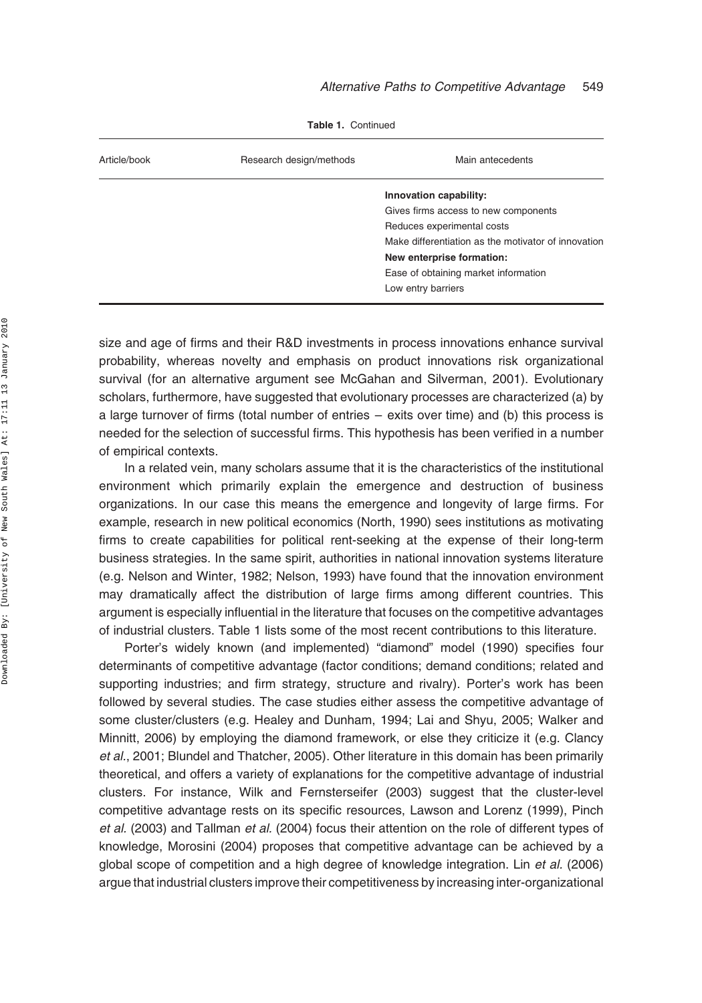| Article/book | Research design/methods | Main antecedents                                    |  |  |  |
|--------------|-------------------------|-----------------------------------------------------|--|--|--|
|              |                         | Innovation capability:                              |  |  |  |
|              |                         | Gives firms access to new components                |  |  |  |
|              |                         | Reduces experimental costs                          |  |  |  |
|              |                         | Make differentiation as the motivator of innovation |  |  |  |
|              |                         | New enterprise formation:                           |  |  |  |
|              |                         | Ease of obtaining market information                |  |  |  |
|              |                         | Low entry barriers                                  |  |  |  |

Table 1. Continued

size and age of firms and their R&D investments in process innovations enhance survival probability, whereas novelty and emphasis on product innovations risk organizational survival (for an alternative argument see McGahan and Silverman, 2001). Evolutionary scholars, furthermore, have suggested that evolutionary processes are characterized (a) by a large turnover of firms (total number of entries – exits over time) and (b) this process is needed for the selection of successful firms. This hypothesis has been verified in a number of empirical contexts.

In a related vein, many scholars assume that it is the characteristics of the institutional environment which primarily explain the emergence and destruction of business organizations. In our case this means the emergence and longevity of large firms. For example, research in new political economics (North, 1990) sees institutions as motivating firms to create capabilities for political rent-seeking at the expense of their long-term business strategies. In the same spirit, authorities in national innovation systems literature (e.g. Nelson and Winter, 1982; Nelson, 1993) have found that the innovation environment may dramatically affect the distribution of large firms among different countries. This argument is especially influential in the literature that focuses on the competitive advantages of industrial clusters. Table 1 lists some of the most recent contributions to this literature.

Porter's widely known (and implemented) "diamond" model (1990) specifies four determinants of competitive advantage (factor conditions; demand conditions; related and supporting industries; and firm strategy, structure and rivalry). Porter's work has been followed by several studies. The case studies either assess the competitive advantage of some cluster/clusters (e.g. Healey and Dunham, 1994; Lai and Shyu, 2005; Walker and Minnitt, 2006) by employing the diamond framework, or else they criticize it (e.g. Clancy et al., 2001; Blundel and Thatcher, 2005). Other literature in this domain has been primarily theoretical, and offers a variety of explanations for the competitive advantage of industrial clusters. For instance, Wilk and Fernsterseifer (2003) suggest that the cluster-level competitive advantage rests on its specific resources, Lawson and Lorenz (1999), Pinch et al. (2003) and Tallman et al. (2004) focus their attention on the role of different types of knowledge, Morosini (2004) proposes that competitive advantage can be achieved by a global scope of competition and a high degree of knowledge integration. Lin et al. (2006) argue that industrial clusters improve their competitiveness by increasing inter-organizational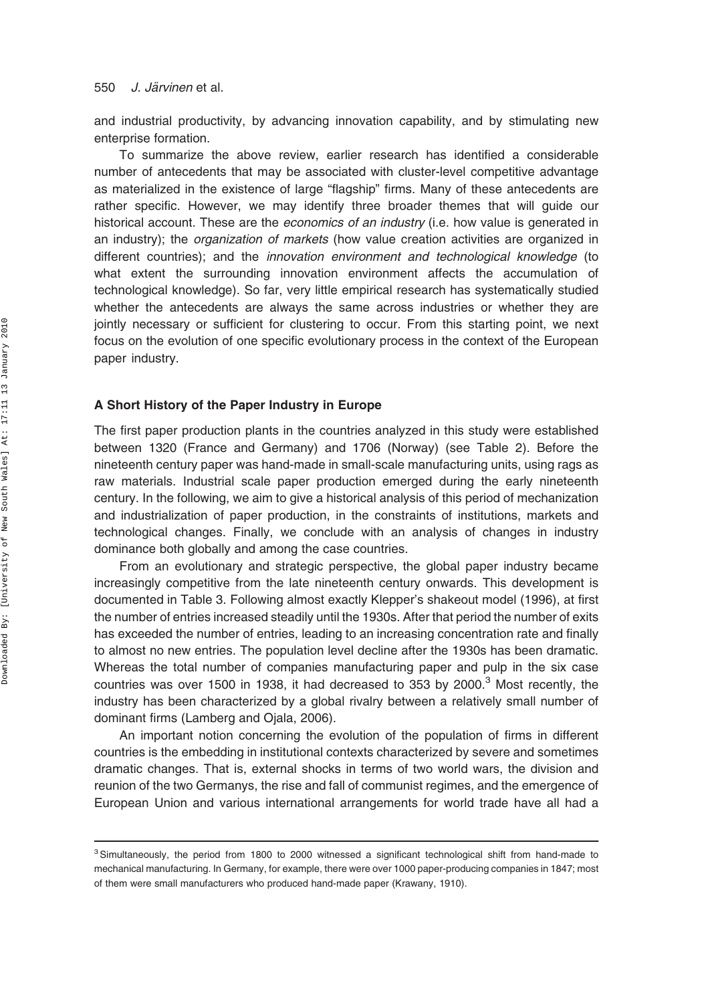and industrial productivity, by advancing innovation capability, and by stimulating new enterprise formation.

To summarize the above review, earlier research has identified a considerable number of antecedents that may be associated with cluster-level competitive advantage as materialized in the existence of large "flagship" firms. Many of these antecedents are rather specific. However, we may identify three broader themes that will guide our historical account. These are the *economics of an industry* (i.e. how value is generated in an industry); the organization of markets (how value creation activities are organized in different countries); and the innovation environment and technological knowledge (to what extent the surrounding innovation environment affects the accumulation of technological knowledge). So far, very little empirical research has systematically studied whether the antecedents are always the same across industries or whether they are jointly necessary or sufficient for clustering to occur. From this starting point, we next focus on the evolution of one specific evolutionary process in the context of the European paper industry.

#### A Short History of the Paper Industry in Europe

The first paper production plants in the countries analyzed in this study were established between 1320 (France and Germany) and 1706 (Norway) (see Table 2). Before the nineteenth century paper was hand-made in small-scale manufacturing units, using rags as raw materials. Industrial scale paper production emerged during the early nineteenth century. In the following, we aim to give a historical analysis of this period of mechanization and industrialization of paper production, in the constraints of institutions, markets and technological changes. Finally, we conclude with an analysis of changes in industry dominance both globally and among the case countries.

From an evolutionary and strategic perspective, the global paper industry became increasingly competitive from the late nineteenth century onwards. This development is documented in Table 3. Following almost exactly Klepper's shakeout model (1996), at first the number of entries increased steadily until the 1930s. After that period the number of exits has exceeded the number of entries, leading to an increasing concentration rate and finally to almost no new entries. The population level decline after the 1930s has been dramatic. Whereas the total number of companies manufacturing paper and pulp in the six case countries was over 1500 in 1938, it had decreased to 353 by  $2000$ .<sup>3</sup> Most recently, the industry has been characterized by a global rivalry between a relatively small number of dominant firms (Lamberg and Ojala, 2006).

An important notion concerning the evolution of the population of firms in different countries is the embedding in institutional contexts characterized by severe and sometimes dramatic changes. That is, external shocks in terms of two world wars, the division and reunion of the two Germanys, the rise and fall of communist regimes, and the emergence of European Union and various international arrangements for world trade have all had a

<sup>3</sup>Simultaneously, the period from 1800 to 2000 witnessed a significant technological shift from hand-made to mechanical manufacturing. In Germany, for example, there were over 1000 paper-producing companies in 1847; most of them were small manufacturers who produced hand-made paper (Krawany, 1910).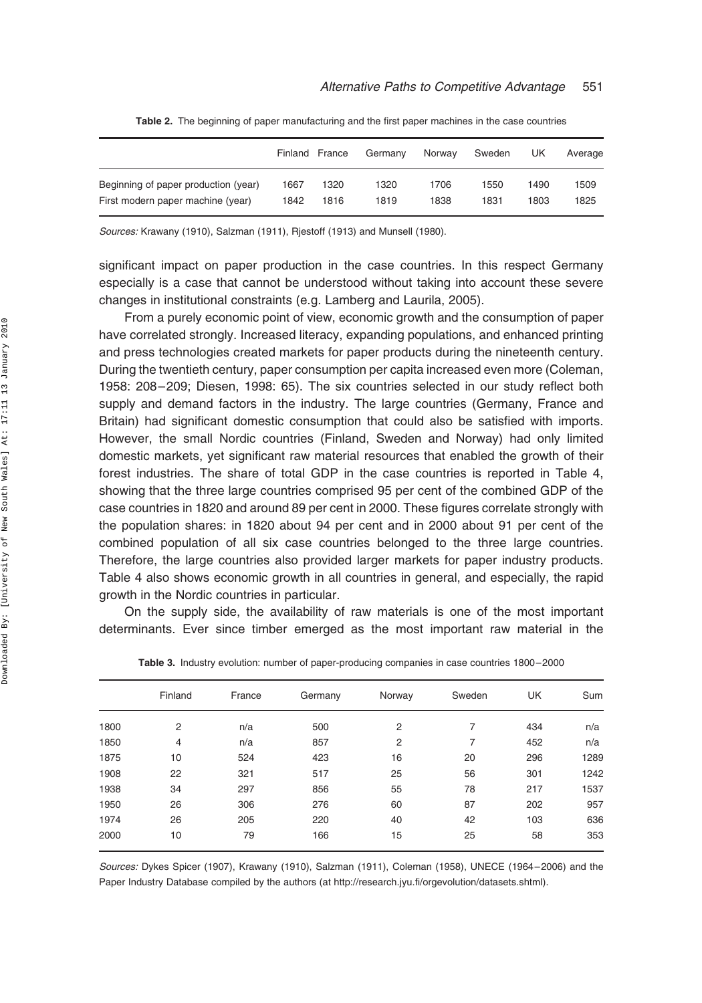|                                      |      | Finland France | Germany | Norway | Sweden | UK   | Average |
|--------------------------------------|------|----------------|---------|--------|--------|------|---------|
| Beginning of paper production (year) | 1667 | 1320           | 1320    | 1706   | 1550   | 1490 | 1509    |
| First modern paper machine (year)    | 1842 | 1816           | 1819    | 1838   | 1831   | 1803 | 1825    |

Table 2. The beginning of paper manufacturing and the first paper machines in the case countries

Sources: Krawany (1910), Salzman (1911), Rjestoff (1913) and Munsell (1980).

significant impact on paper production in the case countries. In this respect Germany especially is a case that cannot be understood without taking into account these severe changes in institutional constraints (e.g. Lamberg and Laurila, 2005).

From a purely economic point of view, economic growth and the consumption of paper have correlated strongly. Increased literacy, expanding populations, and enhanced printing and press technologies created markets for paper products during the nineteenth century. During the twentieth century, paper consumption per capita increased even more (Coleman, 1958: 208–209; Diesen, 1998: 65). The six countries selected in our study reflect both supply and demand factors in the industry. The large countries (Germany, France and Britain) had significant domestic consumption that could also be satisfied with imports. However, the small Nordic countries (Finland, Sweden and Norway) had only limited domestic markets, yet significant raw material resources that enabled the growth of their forest industries. The share of total GDP in the case countries is reported in Table 4, showing that the three large countries comprised 95 per cent of the combined GDP of the case countries in 1820 and around 89 per cent in 2000. These figures correlate strongly with the population shares: in 1820 about 94 per cent and in 2000 about 91 per cent of the combined population of all six case countries belonged to the three large countries. Therefore, the large countries also provided larger markets for paper industry products. Table 4 also shows economic growth in all countries in general, and especially, the rapid growth in the Nordic countries in particular.

On the supply side, the availability of raw materials is one of the most important determinants. Ever since timber emerged as the most important raw material in the

|      | Finland | France | Germany | Norway         | Sweden | UK  | Sum  |
|------|---------|--------|---------|----------------|--------|-----|------|
| 1800 | 2       | n/a    | 500     | $\overline{2}$ | 7      | 434 | n/a  |
| 1850 | 4       | n/a    | 857     | $\overline{2}$ | 7      | 452 | n/a  |
| 1875 | 10      | 524    | 423     | 16             | 20     | 296 | 1289 |
| 1908 | 22      | 321    | 517     | 25             | 56     | 301 | 1242 |
| 1938 | 34      | 297    | 856     | 55             | 78     | 217 | 1537 |
| 1950 | 26      | 306    | 276     | 60             | 87     | 202 | 957  |
| 1974 | 26      | 205    | 220     | 40             | 42     | 103 | 636  |
| 2000 | 10      | 79     | 166     | 15             | 25     | 58  | 353  |

Table 3. Industry evolution: number of paper-producing companies in case countries 1800–2000

Sources: Dykes Spicer (1907), Krawany (1910), Salzman (1911), Coleman (1958), UNECE (1964–2006) and the Paper Industry Database compiled by the authors (at http://research.jyu.fi/orgevolution/datasets.shtml).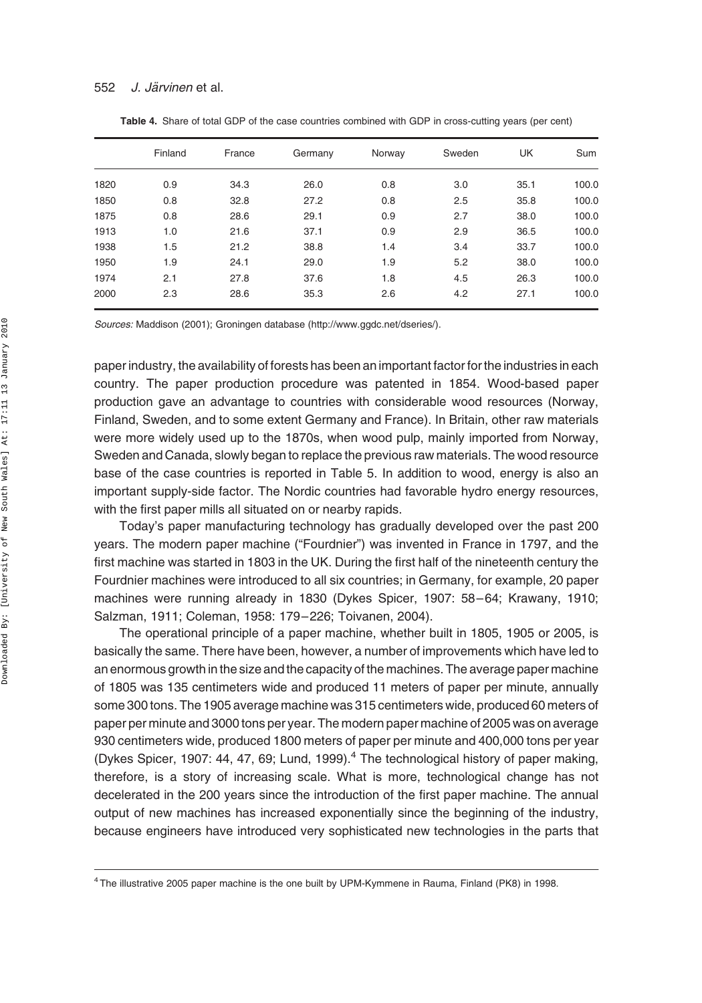|      | Finland | France | Germany | Norway | Sweden | UK   | Sum   |
|------|---------|--------|---------|--------|--------|------|-------|
| 1820 | 0.9     | 34.3   | 26.0    | 0.8    | 3.0    | 35.1 | 100.0 |
| 1850 | 0.8     | 32.8   | 27.2    | 0.8    | 2.5    | 35.8 | 100.0 |
| 1875 | 0.8     | 28.6   | 29.1    | 0.9    | 2.7    | 38.0 | 100.0 |
| 1913 | 1.0     | 21.6   | 37.1    | 0.9    | 2.9    | 36.5 | 100.0 |
| 1938 | 1.5     | 21.2   | 38.8    | 1.4    | 3.4    | 33.7 | 100.0 |
| 1950 | 1.9     | 24.1   | 29.0    | 1.9    | 5.2    | 38.0 | 100.0 |
| 1974 | 2.1     | 27.8   | 37.6    | 1.8    | 4.5    | 26.3 | 100.0 |
| 2000 | 2.3     | 28.6   | 35.3    | 2.6    | 4.2    | 27.1 | 100.0 |
|      |         |        |         |        |        |      |       |

Table 4. Share of total GDP of the case countries combined with GDP in cross-cutting years (per cent)

Sources: Maddison (2001); Groningen database (http://www.ggdc.net/dseries/).

paper industry, the availability of forests has been an important factor for the industries in each country. The paper production procedure was patented in 1854. Wood-based paper production gave an advantage to countries with considerable wood resources (Norway, Finland, Sweden, and to some extent Germany and France). In Britain, other raw materials were more widely used up to the 1870s, when wood pulp, mainly imported from Norway, Sweden and Canada, slowly began to replace the previous raw materials. The wood resource base of the case countries is reported in Table 5. In addition to wood, energy is also an important supply-side factor. The Nordic countries had favorable hydro energy resources, with the first paper mills all situated on or nearby rapids.

Today's paper manufacturing technology has gradually developed over the past 200 years. The modern paper machine ("Fourdnier") was invented in France in 1797, and the first machine was started in 1803 in the UK. During the first half of the nineteenth century the Fourdnier machines were introduced to all six countries; in Germany, for example, 20 paper machines were running already in 1830 (Dykes Spicer, 1907: 58–64; Krawany, 1910; Salzman, 1911; Coleman, 1958: 179–226; Toivanen, 2004).

The operational principle of a paper machine, whether built in 1805, 1905 or 2005, is basically the same. There have been, however, a number of improvements which have led to an enormous growth in the size and the capacity of the machines. The average paper machine of 1805 was 135 centimeters wide and produced 11 meters of paper per minute, annually some 300 tons. The 1905 average machine was 315 centimeters wide, produced 60 meters of paper per minute and 3000 tons per year. The modern paper machine of 2005 was on average 930 centimeters wide, produced 1800 meters of paper per minute and 400,000 tons per year (Dykes Spicer, 1907: 44, 47, 69; Lund, 1999).<sup>4</sup> The technological history of paper making, therefore, is a story of increasing scale. What is more, technological change has not decelerated in the 200 years since the introduction of the first paper machine. The annual output of new machines has increased exponentially since the beginning of the industry, because engineers have introduced very sophisticated new technologies in the parts that

<sup>4</sup> The illustrative 2005 paper machine is the one built by UPM-Kymmene in Rauma, Finland (PK8) in 1998.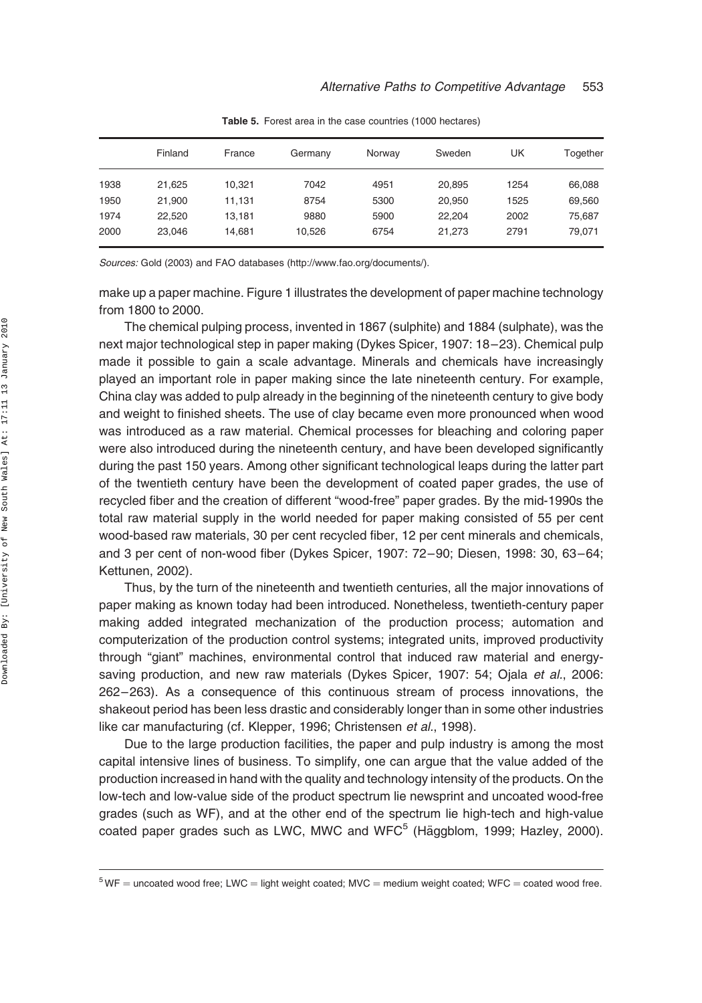|      | Finland | France | Germany | Norway | Sweden | UK   | Together |
|------|---------|--------|---------|--------|--------|------|----------|
| 1938 | 21.625  | 10.321 | 7042    | 4951   | 20.895 | 1254 | 66,088   |
| 1950 | 21.900  | 11.131 | 8754    | 5300   | 20,950 | 1525 | 69,560   |
| 1974 | 22.520  | 13,181 | 9880    | 5900   | 22,204 | 2002 | 75,687   |
| 2000 | 23.046  | 14.681 | 10.526  | 6754   | 21,273 | 2791 | 79,071   |

Table 5. Forest area in the case countries (1000 hectares)

Sources: Gold (2003) and FAO databases (http://www.fao.org/documents/).

make up a paper machine. Figure 1 illustrates the development of paper machine technology from 1800 to 2000.

The chemical pulping process, invented in 1867 (sulphite) and 1884 (sulphate), was the next major technological step in paper making (Dykes Spicer, 1907: 18–23). Chemical pulp made it possible to gain a scale advantage. Minerals and chemicals have increasingly played an important role in paper making since the late nineteenth century. For example, China clay was added to pulp already in the beginning of the nineteenth century to give body and weight to finished sheets. The use of clay became even more pronounced when wood was introduced as a raw material. Chemical processes for bleaching and coloring paper were also introduced during the nineteenth century, and have been developed significantly during the past 150 years. Among other significant technological leaps during the latter part of the twentieth century have been the development of coated paper grades, the use of recycled fiber and the creation of different "wood-free" paper grades. By the mid-1990s the total raw material supply in the world needed for paper making consisted of 55 per cent wood-based raw materials, 30 per cent recycled fiber, 12 per cent minerals and chemicals, and 3 per cent of non-wood fiber (Dykes Spicer, 1907: 72–90; Diesen, 1998: 30, 63–64; Kettunen, 2002).

Thus, by the turn of the nineteenth and twentieth centuries, all the major innovations of paper making as known today had been introduced. Nonetheless, twentieth-century paper making added integrated mechanization of the production process; automation and computerization of the production control systems; integrated units, improved productivity through "giant" machines, environmental control that induced raw material and energysaving production, and new raw materials (Dykes Spicer, 1907: 54; Ojala et al., 2006: 262–263). As a consequence of this continuous stream of process innovations, the shakeout period has been less drastic and considerably longer than in some other industries like car manufacturing (cf. Klepper, 1996; Christensen et al., 1998).

Due to the large production facilities, the paper and pulp industry is among the most capital intensive lines of business. To simplify, one can argue that the value added of the production increased in hand with the quality and technology intensity of the products. On the low-tech and low-value side of the product spectrum lie newsprint and uncoated wood-free grades (such as WF), and at the other end of the spectrum lie high-tech and high-value coated paper grades such as LWC, MWC and WFC<sup>5</sup> (Häggblom, 1999; Hazley, 2000).

 $5WF =$  uncoated wood free; LWC = light weight coated; MVC = medium weight coated; WFC = coated wood free.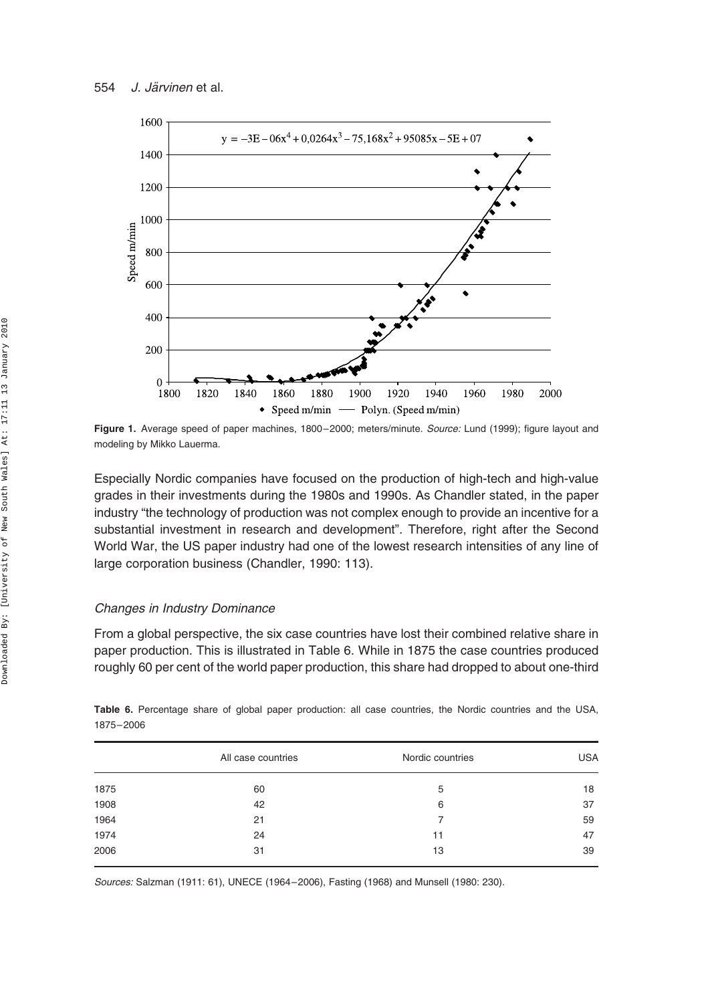

Figure 1. Average speed of paper machines, 1800-2000; meters/minute. Source: Lund (1999); figure layout and modeling by Mikko Lauerma.

Especially Nordic companies have focused on the production of high-tech and high-value grades in their investments during the 1980s and 1990s. As Chandler stated, in the paper industry "the technology of production was not complex enough to provide an incentive for a substantial investment in research and development". Therefore, right after the Second World War, the US paper industry had one of the lowest research intensities of any line of large corporation business (Chandler, 1990: 113).

#### Changes in Industry Dominance

From a global perspective, the six case countries have lost their combined relative share in paper production. This is illustrated in Table 6. While in 1875 the case countries produced roughly 60 per cent of the world paper production, this share had dropped to about one-third

|           | Table 6. Percentage share of global paper production: all case countries, the Nordic countries and the USA, |  |  |  |  |  |  |  |
|-----------|-------------------------------------------------------------------------------------------------------------|--|--|--|--|--|--|--|
| 1875-2006 |                                                                                                             |  |  |  |  |  |  |  |

|      | All case countries | Nordic countries | <b>USA</b> |
|------|--------------------|------------------|------------|
| 1875 | 60                 | 5                | 18         |
| 1908 | 42                 | 6                | 37         |
| 1964 | 21                 |                  | 59         |
| 1974 | 24                 | 11               | 47         |
| 2006 | 31                 | 13               | 39         |

Sources: Salzman (1911: 61), UNECE (1964–2006), Fasting (1968) and Munsell (1980: 230).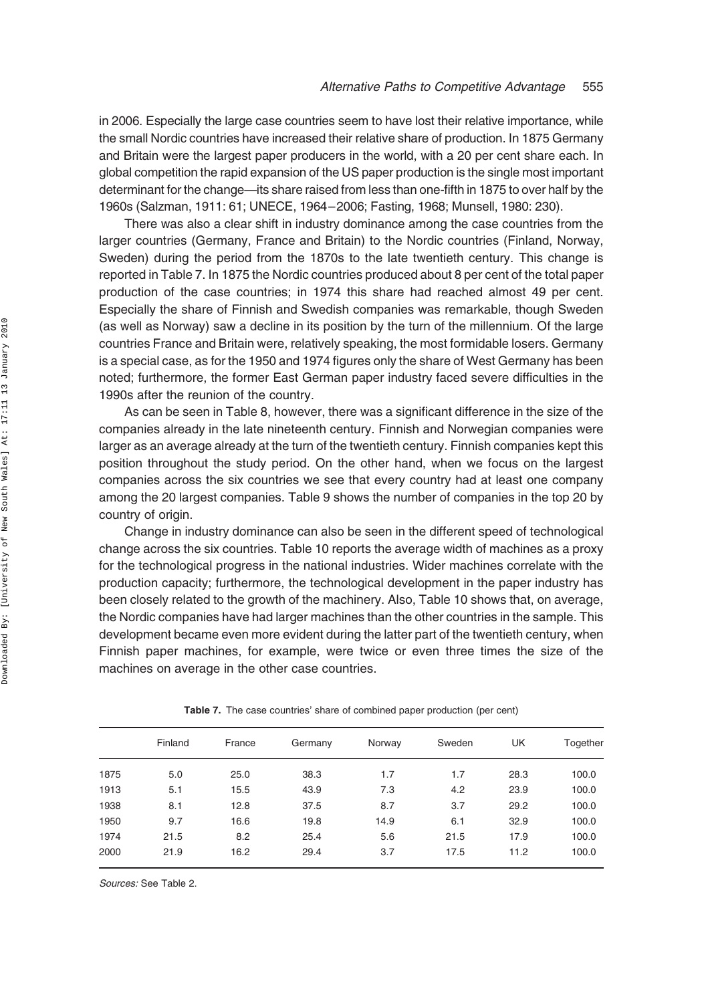in 2006. Especially the large case countries seem to have lost their relative importance, while the small Nordic countries have increased their relative share of production. In 1875 Germany and Britain were the largest paper producers in the world, with a 20 per cent share each. In global competition the rapid expansion of the US paper production is the single most important determinant for the change—its share raised from less than one-fifth in 1875 to over half by the 1960s (Salzman, 1911: 61; UNECE, 1964–2006; Fasting, 1968; Munsell, 1980: 230).

There was also a clear shift in industry dominance among the case countries from the larger countries (Germany, France and Britain) to the Nordic countries (Finland, Norway, Sweden) during the period from the 1870s to the late twentieth century. This change is reported in Table 7. In 1875 the Nordic countries produced about 8 per cent of the total paper production of the case countries; in 1974 this share had reached almost 49 per cent. Especially the share of Finnish and Swedish companies was remarkable, though Sweden (as well as Norway) saw a decline in its position by the turn of the millennium. Of the large countries France and Britain were, relatively speaking, the most formidable losers. Germany is a special case, as for the 1950 and 1974 figures only the share of West Germany has been noted; furthermore, the former East German paper industry faced severe difficulties in the 1990s after the reunion of the country.

As can be seen in Table 8, however, there was a significant difference in the size of the companies already in the late nineteenth century. Finnish and Norwegian companies were larger as an average already at the turn of the twentieth century. Finnish companies kept this position throughout the study period. On the other hand, when we focus on the largest companies across the six countries we see that every country had at least one company among the 20 largest companies. Table 9 shows the number of companies in the top 20 by country of origin.

Change in industry dominance can also be seen in the different speed of technological change across the six countries. Table 10 reports the average width of machines as a proxy for the technological progress in the national industries. Wider machines correlate with the production capacity; furthermore, the technological development in the paper industry has been closely related to the growth of the machinery. Also, Table 10 shows that, on average, the Nordic companies have had larger machines than the other countries in the sample. This development became even more evident during the latter part of the twentieth century, when Finnish paper machines, for example, were twice or even three times the size of the machines on average in the other case countries.

|      | Finland | France | Germany | Norway | Sweden | UK   | Together |
|------|---------|--------|---------|--------|--------|------|----------|
| 1875 | 5.0     | 25.0   | 38.3    | 1.7    | 1.7    | 28.3 | 100.0    |
| 1913 | 5.1     | 15.5   | 43.9    | 7.3    | 4.2    | 23.9 | 100.0    |
| 1938 | 8.1     | 12.8   | 37.5    | 8.7    | 3.7    | 29.2 | 100.0    |
| 1950 | 9.7     | 16.6   | 19.8    | 14.9   | 6.1    | 32.9 | 100.0    |
| 1974 | 21.5    | 8.2    | 25.4    | 5.6    | 21.5   | 17.9 | 100.0    |
| 2000 | 21.9    | 16.2   | 29.4    | 3.7    | 17.5   | 11.2 | 100.0    |
|      |         |        |         |        |        |      |          |

Table 7. The case countries' share of combined paper production (per cent)

Sources: See Table 2.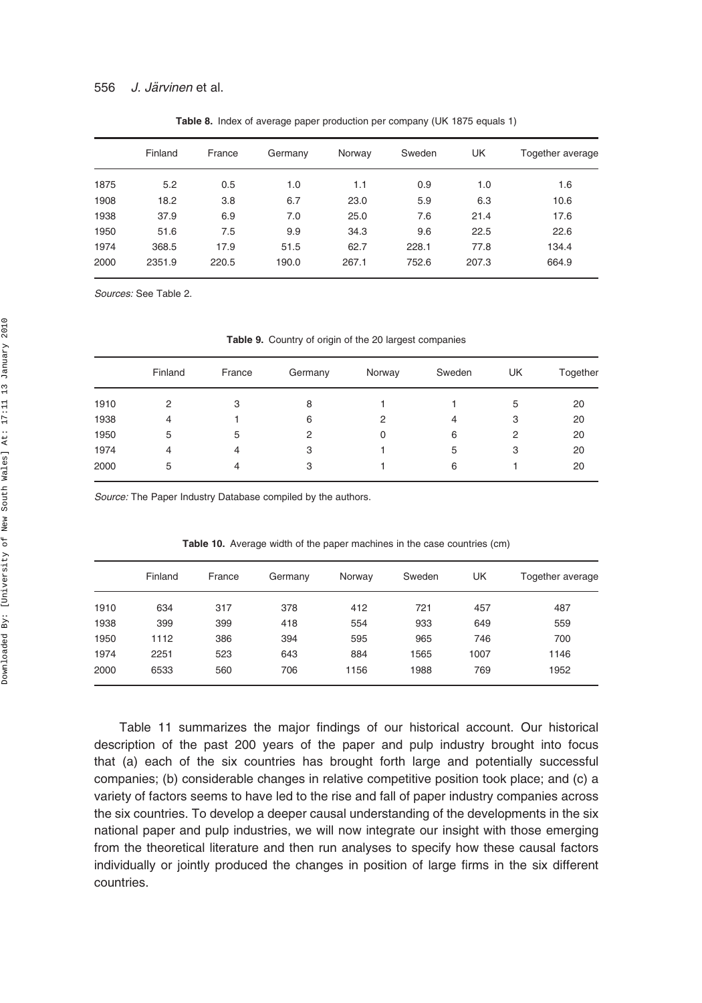|      | Finland | France | Germany | Norway | Sweden | UK    | Together average |
|------|---------|--------|---------|--------|--------|-------|------------------|
| 1875 | 5.2     | 0.5    | 1.0     | 1.1    | 0.9    | 1.0   | 1.6              |
| 1908 | 18.2    | 3.8    | 6.7     | 23.0   | 5.9    | 6.3   | 10.6             |
| 1938 | 37.9    | 6.9    | 7.0     | 25.0   | 7.6    | 21.4  | 17.6             |
| 1950 | 51.6    | 7.5    | 9.9     | 34.3   | 9.6    | 22.5  | 22.6             |
| 1974 | 368.5   | 17.9   | 51.5    | 62.7   | 228.1  | 77.8  | 134.4            |
| 2000 | 2351.9  | 220.5  | 190.0   | 267.1  | 752.6  | 207.3 | 664.9            |

Table 8. Index of average paper production per company (UK 1875 equals 1)

Sources: See Table 2.

Table 9. Country of origin of the 20 largest companies

|      | Finland | France | Germany | Norway   | Sweden | UK | Together |
|------|---------|--------|---------|----------|--------|----|----------|
| 1910 | 2       | 3      | 8       |          |        | 5  | 20       |
| 1938 | 4       |        | 6       | 2        | 4      | 3  | 20       |
| 1950 | 5       | 5      | 2       | $\Omega$ | 6      | 2  | 20       |
| 1974 | 4       | 4      | 3       |          | 5      | 3  | 20       |
| 2000 | 5       | 4      | 3       |          | 6      |    | 20       |
|      |         |        |         |          |        |    |          |

Source: The Paper Industry Database compiled by the authors.

|      | Finland | France | Germany | Norway | Sweden | UK   | Together average |
|------|---------|--------|---------|--------|--------|------|------------------|
| 1910 | 634     | 317    | 378     | 412    | 721    | 457  | 487              |
| 1938 | 399     | 399    | 418     | 554    | 933    | 649  | 559              |
| 1950 | 1112    | 386    | 394     | 595    | 965    | 746  | 700              |
| 1974 | 2251    | 523    | 643     | 884    | 1565   | 1007 | 1146             |
| 2000 | 6533    | 560    | 706     | 1156   | 1988   | 769  | 1952             |

Table 10. Average width of the paper machines in the case countries (cm)

Table 11 summarizes the major findings of our historical account. Our historical description of the past 200 years of the paper and pulp industry brought into focus that (a) each of the six countries has brought forth large and potentially successful companies; (b) considerable changes in relative competitive position took place; and (c) a variety of factors seems to have led to the rise and fall of paper industry companies across the six countries. To develop a deeper causal understanding of the developments in the six national paper and pulp industries, we will now integrate our insight with those emerging from the theoretical literature and then run analyses to specify how these causal factors individually or jointly produced the changes in position of large firms in the six different countries.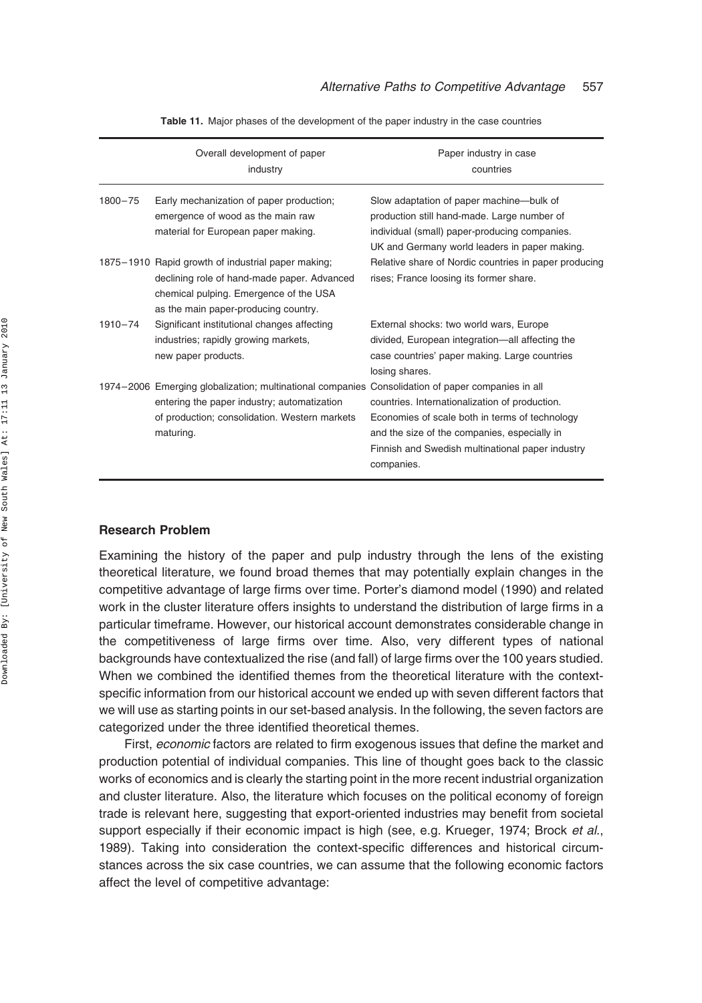|         | Overall development of paper<br>industry                                                                                                                                                                       | Paper industry in case<br>countries                                                                                                                                                                                |
|---------|----------------------------------------------------------------------------------------------------------------------------------------------------------------------------------------------------------------|--------------------------------------------------------------------------------------------------------------------------------------------------------------------------------------------------------------------|
| 1800-75 | Early mechanization of paper production;<br>emergence of wood as the main raw<br>material for European paper making.                                                                                           | Slow adaptation of paper machine-bulk of<br>production still hand-made. Large number of<br>individual (small) paper-producing companies.<br>UK and Germany world leaders in paper making.                          |
|         | 1875-1910 Rapid growth of industrial paper making;<br>declining role of hand-made paper. Advanced<br>chemical pulping. Emergence of the USA<br>as the main paper-producing country.                            | Relative share of Nordic countries in paper producing<br>rises; France loosing its former share.                                                                                                                   |
| 1910-74 | Significant institutional changes affecting<br>industries; rapidly growing markets,<br>new paper products.                                                                                                     | External shocks: two world wars, Europe<br>divided, European integration-all affecting the<br>case countries' paper making. Large countries<br>losing shares.                                                      |
|         | 1974–2006 Emerging globalization; multinational companies Consolidation of paper companies in all<br>entering the paper industry; automatization<br>of production; consolidation. Western markets<br>maturing. | countries. Internationalization of production.<br>Economies of scale both in terms of technology<br>and the size of the companies, especially in<br>Finnish and Swedish multinational paper industry<br>companies. |

Table 11. Major phases of the development of the paper industry in the case countries

#### Research Problem

Examining the history of the paper and pulp industry through the lens of the existing theoretical literature, we found broad themes that may potentially explain changes in the competitive advantage of large firms over time. Porter's diamond model (1990) and related work in the cluster literature offers insights to understand the distribution of large firms in a particular timeframe. However, our historical account demonstrates considerable change in the competitiveness of large firms over time. Also, very different types of national backgrounds have contextualized the rise (and fall) of large firms over the 100 years studied. When we combined the identified themes from the theoretical literature with the contextspecific information from our historical account we ended up with seven different factors that we will use as starting points in our set-based analysis. In the following, the seven factors are categorized under the three identified theoretical themes.

First, economic factors are related to firm exogenous issues that define the market and production potential of individual companies. This line of thought goes back to the classic works of economics and is clearly the starting point in the more recent industrial organization and cluster literature. Also, the literature which focuses on the political economy of foreign trade is relevant here, suggesting that export-oriented industries may benefit from societal support especially if their economic impact is high (see, e.g. Krueger, 1974; Brock et al., 1989). Taking into consideration the context-specific differences and historical circumstances across the six case countries, we can assume that the following economic factors affect the level of competitive advantage: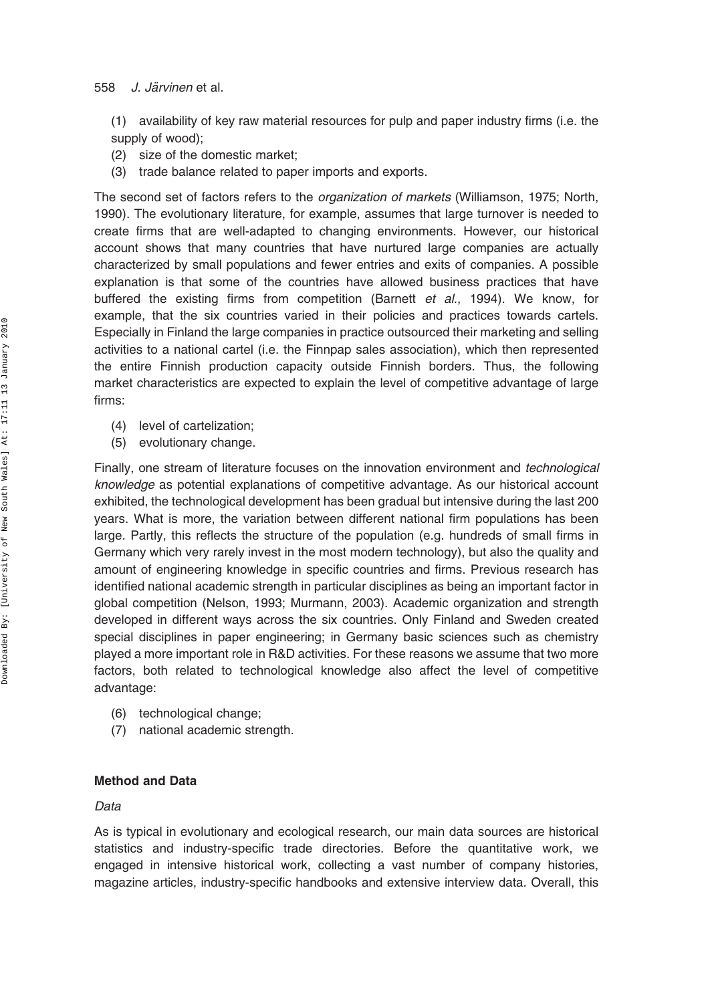(1) availability of key raw material resources for pulp and paper industry firms (i.e. the supply of wood);

- (2) size of the domestic market;
- (3) trade balance related to paper imports and exports.

The second set of factors refers to the *organization of markets* (Williamson, 1975; North, 1990). The evolutionary literature, for example, assumes that large turnover is needed to create firms that are well-adapted to changing environments. However, our historical account shows that many countries that have nurtured large companies are actually characterized by small populations and fewer entries and exits of companies. A possible explanation is that some of the countries have allowed business practices that have buffered the existing firms from competition (Barnett et al., 1994). We know, for example, that the six countries varied in their policies and practices towards cartels. Especially in Finland the large companies in practice outsourced their marketing and selling activities to a national cartel (i.e. the Finnpap sales association), which then represented the entire Finnish production capacity outside Finnish borders. Thus, the following market characteristics are expected to explain the level of competitive advantage of large firms:

- (4) level of cartelization;
- (5) evolutionary change.

Finally, one stream of literature focuses on the innovation environment and technological knowledge as potential explanations of competitive advantage. As our historical account exhibited, the technological development has been gradual but intensive during the last 200 years. What is more, the variation between different national firm populations has been large. Partly, this reflects the structure of the population (e.g. hundreds of small firms in Germany which very rarely invest in the most modern technology), but also the quality and amount of engineering knowledge in specific countries and firms. Previous research has identified national academic strength in particular disciplines as being an important factor in global competition (Nelson, 1993; Murmann, 2003). Academic organization and strength developed in different ways across the six countries. Only Finland and Sweden created special disciplines in paper engineering; in Germany basic sciences such as chemistry played a more important role in R&D activities. For these reasons we assume that two more factors, both related to technological knowledge also affect the level of competitive advantage:

- (6) technological change;
- (7) national academic strength.

#### Method and Data

#### Data

As is typical in evolutionary and ecological research, our main data sources are historical statistics and industry-specific trade directories. Before the quantitative work, we engaged in intensive historical work, collecting a vast number of company histories, magazine articles, industry-specific handbooks and extensive interview data. Overall, this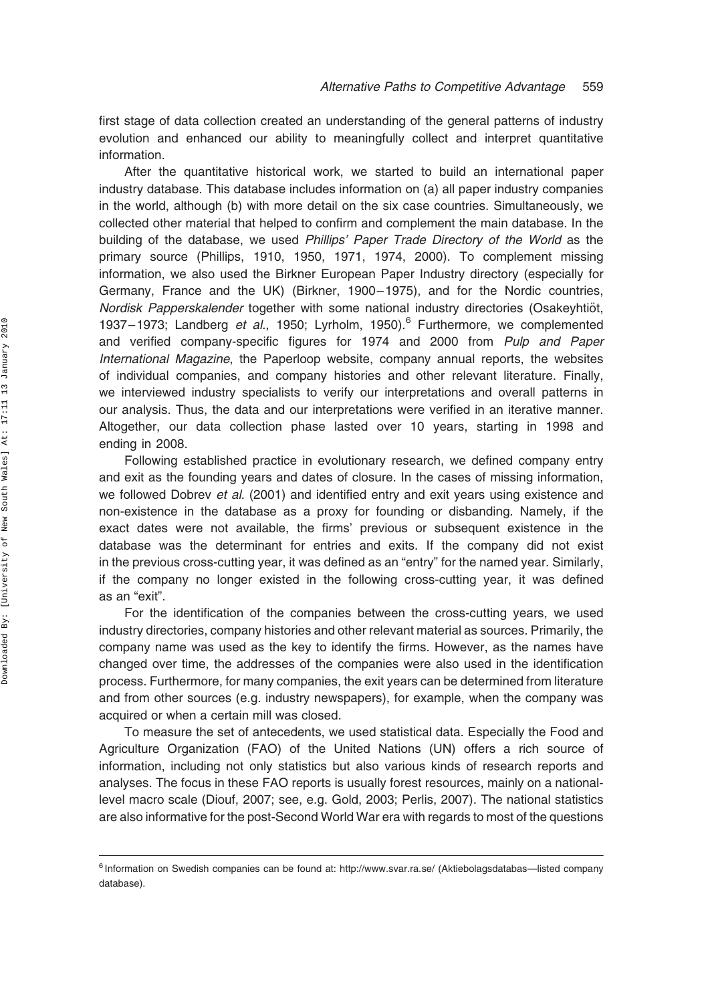first stage of data collection created an understanding of the general patterns of industry evolution and enhanced our ability to meaningfully collect and interpret quantitative information.

After the quantitative historical work, we started to build an international paper industry database. This database includes information on (a) all paper industry companies in the world, although (b) with more detail on the six case countries. Simultaneously, we collected other material that helped to confirm and complement the main database. In the building of the database, we used Phillips' Paper Trade Directory of the World as the primary source (Phillips, 1910, 1950, 1971, 1974, 2000). To complement missing information, we also used the Birkner European Paper Industry directory (especially for Germany, France and the UK) (Birkner, 1900–1975), and for the Nordic countries, Nordisk Papperskalender together with some national industry directories (Osakeyhtiöt, 1937–1973; Landberg et al., 1950; Lyrholm, 1950). <sup>6</sup> Furthermore, we complemented and verified company-specific figures for 1974 and 2000 from Pulp and Paper International Magazine, the Paperloop website, company annual reports, the websites of individual companies, and company histories and other relevant literature. Finally, we interviewed industry specialists to verify our interpretations and overall patterns in our analysis. Thus, the data and our interpretations were verified in an iterative manner. Altogether, our data collection phase lasted over 10 years, starting in 1998 and ending in 2008.

Following established practice in evolutionary research, we defined company entry and exit as the founding years and dates of closure. In the cases of missing information, we followed Dobrev et al. (2001) and identified entry and exit years using existence and non-existence in the database as a proxy for founding or disbanding. Namely, if the exact dates were not available, the firms' previous or subsequent existence in the database was the determinant for entries and exits. If the company did not exist in the previous cross-cutting year, it was defined as an "entry" for the named year. Similarly, if the company no longer existed in the following cross-cutting year, it was defined as an "exit".

For the identification of the companies between the cross-cutting years, we used industry directories, company histories and other relevant material as sources. Primarily, the company name was used as the key to identify the firms. However, as the names have changed over time, the addresses of the companies were also used in the identification process. Furthermore, for many companies, the exit years can be determined from literature and from other sources (e.g. industry newspapers), for example, when the company was acquired or when a certain mill was closed.

To measure the set of antecedents, we used statistical data. Especially the Food and Agriculture Organization (FAO) of the United Nations (UN) offers a rich source of information, including not only statistics but also various kinds of research reports and analyses. The focus in these FAO reports is usually forest resources, mainly on a nationallevel macro scale (Diouf, 2007; see, e.g. Gold, 2003; Perlis, 2007). The national statistics are also informative for the post-Second World War era with regards to most of the questions

<sup>6</sup> Information on Swedish companies can be found at: http://www.svar.ra.se/ (Aktiebolagsdatabas—listed company database).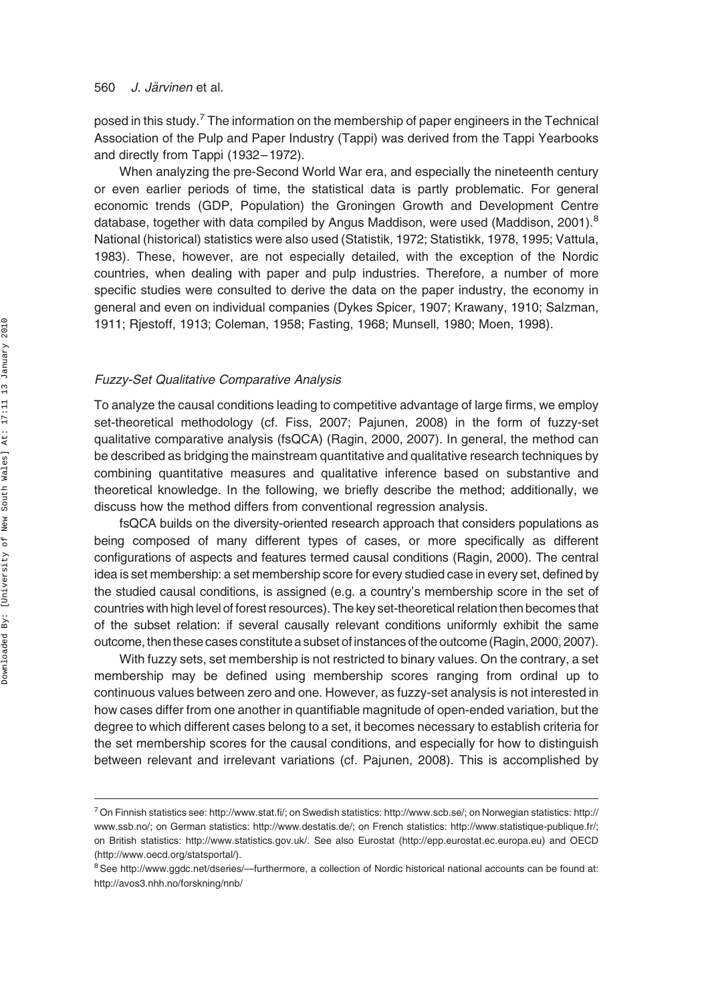posed in this study.<sup>7</sup> The information on the membership of paper engineers in the Technical Association of the Pulp and Paper Industry (Tappi) was derived from the Tappi Yearbooks and directly from Tappi (1932–1972).

When analyzing the pre-Second World War era, and especially the nineteenth century or even earlier periods of time, the statistical data is partly problematic. For general economic trends (GDP, Population) the Groningen Growth and Development Centre database, together with data compiled by Angus Maddison, were used (Maddison, 2001).<sup>8</sup> National (historical) statistics were also used (Statistik, 1972; Statistikk, 1978, 1995; Vattula, 1983). These, however, are not especially detailed, with the exception of the Nordic countries, when dealing with paper and pulp industries. Therefore, a number of more specific studies were consulted to derive the data on the paper industry, the economy in general and even on individual companies (Dykes Spicer, 1907; Krawany, 1910; Salzman, 1911; Rjestoff, 1913; Coleman, 1958; Fasting, 1968; Munsell, 1980; Moen, 1998).

#### Fuzzy-Set Qualitative Comparative Analysis

To analyze the causal conditions leading to competitive advantage of large firms, we employ set-theoretical methodology (cf. Fiss, 2007; Pajunen, 2008) in the form of fuzzy-set qualitative comparative analysis (fsQCA) (Ragin, 2000, 2007). In general, the method can be described as bridging the mainstream quantitative and qualitative research techniques by combining quantitative measures and qualitative inference based on substantive and theoretical knowledge. In the following, we briefly describe the method; additionally, we discuss how the method differs from conventional regression analysis.

fsQCA builds on the diversity-oriented research approach that considers populations as being composed of many different types of cases, or more specifically as different configurations of aspects and features termed causal conditions (Ragin, 2000). The central idea is set membership: a set membership score for every studied case in every set, defined by the studied causal conditions, is assigned (e.g. a country's membership score in the set of countries with high level of forest resources). The key set-theoretical relation then becomes that of the subset relation: if several causally relevant conditions uniformly exhibit the same outcome, then these cases constitute a subset of instances of the outcome (Ragin, 2000, 2007).

With fuzzy sets, set membership is not restricted to binary values. On the contrary, a set membership may be defined using membership scores ranging from ordinal up to continuous values between zero and one. However, as fuzzy-set analysis is not interested in how cases differ from one another in quantifiable magnitude of open-ended variation, but the degree to which different cases belong to a set, it becomes necessary to establish criteria for the set membership scores for the causal conditions, and especially for how to distinguish between relevant and irrelevant variations (cf. Pajunen, 2008). This is accomplished by

 $^7$ On Finnish statistics see: http://www.stat.fi/; on Swedish statistics: http://www.scb.se/; on Norwegian statistics: http:// www.ssb.no/; on German statistics: http://www.destatis.de/; on French statistics: http://www.statistique-publique.fr/; on British statistics: http://www.statistics.gov.uk/. See also Eurostat (http://epp.eurostat.ec.europa.eu) and OECD (http://www.oecd.org/statsportal/).

<sup>&</sup>lt;sup>8</sup> See http://www.ggdc.net/dseries/—furthermore, a collection of Nordic historical national accounts can be found at: http://avos3.nhh.no/forskning/nnb/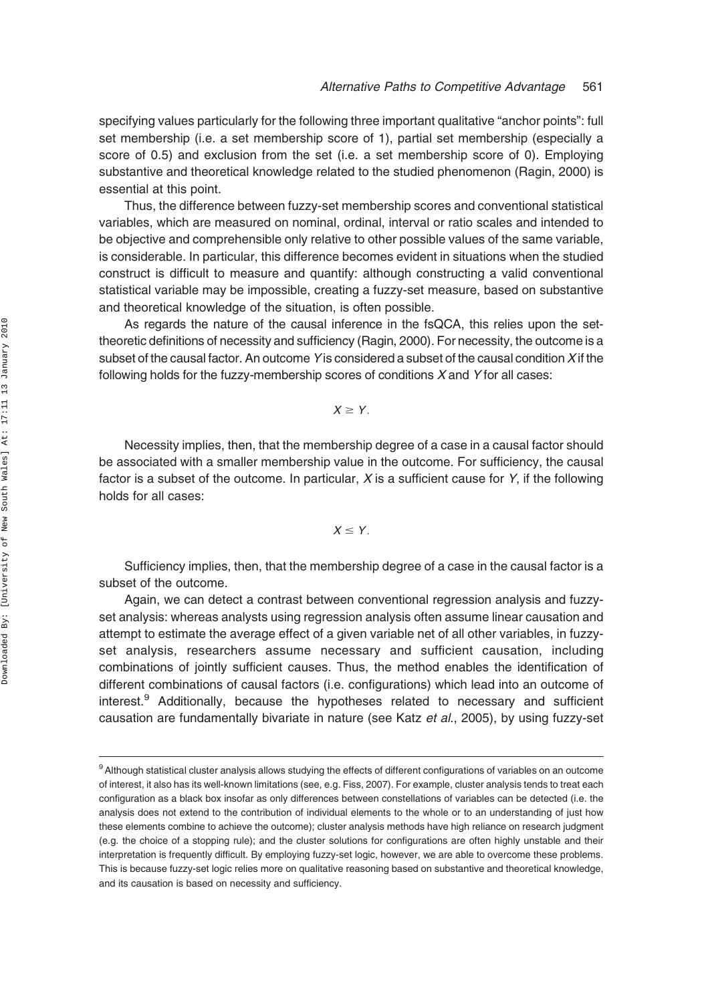specifying values particularly for the following three important qualitative "anchor points": full set membership (i.e. a set membership score of 1), partial set membership (especially a score of 0.5) and exclusion from the set (i.e. a set membership score of 0). Employing substantive and theoretical knowledge related to the studied phenomenon (Ragin, 2000) is essential at this point.

Thus, the difference between fuzzy-set membership scores and conventional statistical variables, which are measured on nominal, ordinal, interval or ratio scales and intended to be objective and comprehensible only relative to other possible values of the same variable, is considerable. In particular, this difference becomes evident in situations when the studied construct is difficult to measure and quantify: although constructing a valid conventional statistical variable may be impossible, creating a fuzzy-set measure, based on substantive and theoretical knowledge of the situation, is often possible.

As regards the nature of the causal inference in the fsQCA, this relies upon the settheoretic definitions of necessity and sufficiency (Ragin, 2000). For necessity, the outcome is a subset of the causal factor. An outcome Y is considered a subset of the causal condition  $X$  if the following holds for the fuzzy-membership scores of conditions  $X$  and  $Y$  for all cases:

 $X > Y$ 

Necessity implies, then, that the membership degree of a case in a causal factor should be associated with a smaller membership value in the outcome. For sufficiency, the causal factor is a subset of the outcome. In particular,  $X$  is a sufficient cause for  $Y$ , if the following holds for all cases:

#### $X \leq Y$ .

Sufficiency implies, then, that the membership degree of a case in the causal factor is a subset of the outcome.

Again, we can detect a contrast between conventional regression analysis and fuzzyset analysis: whereas analysts using regression analysis often assume linear causation and attempt to estimate the average effect of a given variable net of all other variables, in fuzzyset analysis, researchers assume necessary and sufficient causation, including combinations of jointly sufficient causes. Thus, the method enables the identification of different combinations of causal factors (i.e. configurations) which lead into an outcome of interest.<sup>9</sup> Additionally, because the hypotheses related to necessary and sufficient causation are fundamentally bivariate in nature (see Katz et al., 2005), by using fuzzy-set

<sup>&</sup>lt;sup>9</sup> Although statistical cluster analysis allows studying the effects of different configurations of variables on an outcome of interest, it also has its well-known limitations (see, e.g. Fiss, 2007). For example, cluster analysis tends to treat each configuration as a black box insofar as only differences between constellations of variables can be detected (i.e. the analysis does not extend to the contribution of individual elements to the whole or to an understanding of just how these elements combine to achieve the outcome); cluster analysis methods have high reliance on research judgment (e.g. the choice of a stopping rule); and the cluster solutions for configurations are often highly unstable and their interpretation is frequently difficult. By employing fuzzy-set logic, however, we are able to overcome these problems. This is because fuzzy-set logic relies more on qualitative reasoning based on substantive and theoretical knowledge, and its causation is based on necessity and sufficiency.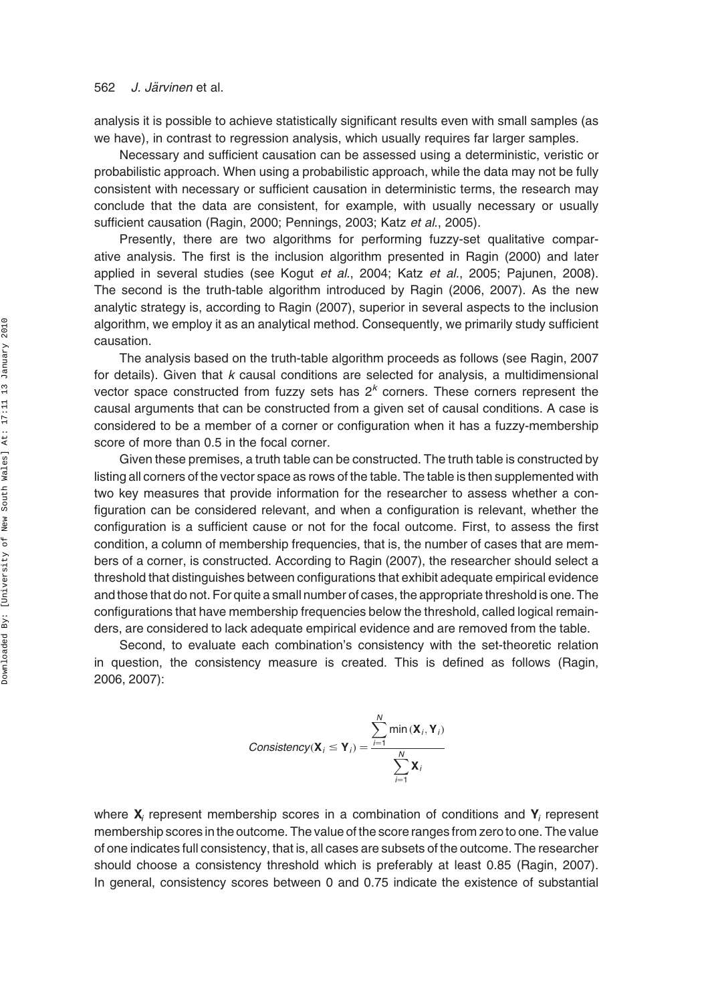analysis it is possible to achieve statistically significant results even with small samples (as we have), in contrast to regression analysis, which usually requires far larger samples.

Necessary and sufficient causation can be assessed using a deterministic, veristic or probabilistic approach. When using a probabilistic approach, while the data may not be fully consistent with necessary or sufficient causation in deterministic terms, the research may conclude that the data are consistent, for example, with usually necessary or usually sufficient causation (Ragin, 2000; Pennings, 2003; Katz et al., 2005).

Presently, there are two algorithms for performing fuzzy-set qualitative comparative analysis. The first is the inclusion algorithm presented in Ragin (2000) and later applied in several studies (see Kogut et al., 2004; Katz et al., 2005; Pajunen, 2008). The second is the truth-table algorithm introduced by Ragin (2006, 2007). As the new analytic strategy is, according to Ragin (2007), superior in several aspects to the inclusion algorithm, we employ it as an analytical method. Consequently, we primarily study sufficient causation.

The analysis based on the truth-table algorithm proceeds as follows (see Ragin, 2007 for details). Given that  $k$  causal conditions are selected for analysis, a multidimensional vector space constructed from fuzzy sets has  $2<sup>k</sup>$  corners. These corners represent the causal arguments that can be constructed from a given set of causal conditions. A case is considered to be a member of a corner or configuration when it has a fuzzy-membership score of more than 0.5 in the focal corner.

Given these premises, a truth table can be constructed. The truth table is constructed by listing all corners of the vector space as rows of the table. The table is then supplemented with two key measures that provide information for the researcher to assess whether a configuration can be considered relevant, and when a configuration is relevant, whether the configuration is a sufficient cause or not for the focal outcome. First, to assess the first condition, a column of membership frequencies, that is, the number of cases that are members of a corner, is constructed. According to Ragin (2007), the researcher should select a threshold that distinguishes between configurations that exhibit adequate empirical evidence and those that do not. For quite a small number of cases, the appropriate threshold is one. The configurations that have membership frequencies below the threshold, called logical remainders, are considered to lack adequate empirical evidence and are removed from the table.

Second, to evaluate each combination's consistency with the set-theoretic relation in question, the consistency measure is created. This is defined as follows (Ragin, 2006, 2007):

$$
Consistency(\mathbf{X}_{i} \leq \mathbf{Y}_{i}) = \frac{\sum_{i=1}^{N} \min{(\mathbf{X}_{i}, \mathbf{Y}_{i})}}{\sum_{i=1}^{N} \mathbf{X}_{i}}
$$

where  $X_i$  represent membership scores in a combination of conditions and  $Y_i$  represent membership scores in the outcome. The value of the score ranges from zero to one. The value of one indicates full consistency, that is, all cases are subsets of the outcome. The researcher should choose a consistency threshold which is preferably at least 0.85 (Ragin, 2007). In general, consistency scores between 0 and 0.75 indicate the existence of substantial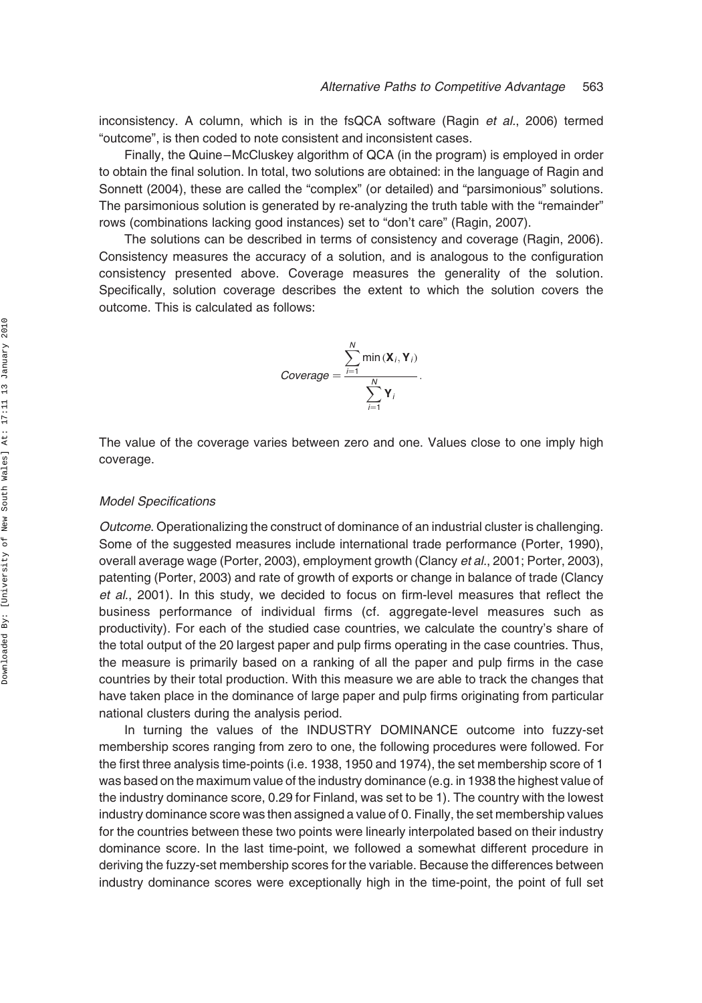inconsistency. A column, which is in the  $f \in \text{CCA}$  software (Ragin et al., 2006) termed "outcome", is then coded to note consistent and inconsistent cases.

Finally, the Quine–McCluskey algorithm of QCA (in the program) is employed in order to obtain the final solution. In total, two solutions are obtained: in the language of Ragin and Sonnett (2004), these are called the "complex" (or detailed) and "parsimonious" solutions. The parsimonious solution is generated by re-analyzing the truth table with the "remainder" rows (combinations lacking good instances) set to "don't care" (Ragin, 2007).

The solutions can be described in terms of consistency and coverage (Ragin, 2006). Consistency measures the accuracy of a solution, and is analogous to the configuration consistency presented above. Coverage measures the generality of the solution. Specifically, solution coverage describes the extent to which the solution covers the outcome. This is calculated as follows:



The value of the coverage varies between zero and one. Values close to one imply high coverage.

#### Model Specifications

Outcome. Operationalizing the construct of dominance of an industrial cluster is challenging. Some of the suggested measures include international trade performance (Porter, 1990). overall average wage (Porter, 2003), employment growth (Clancy et al., 2001; Porter, 2003), patenting (Porter, 2003) and rate of growth of exports or change in balance of trade (Clancy et al., 2001). In this study, we decided to focus on firm-level measures that reflect the business performance of individual firms (cf. aggregate-level measures such as productivity). For each of the studied case countries, we calculate the country's share of the total output of the 20 largest paper and pulp firms operating in the case countries. Thus, the measure is primarily based on a ranking of all the paper and pulp firms in the case countries by their total production. With this measure we are able to track the changes that have taken place in the dominance of large paper and pulp firms originating from particular national clusters during the analysis period.

In turning the values of the INDUSTRY DOMINANCE outcome into fuzzy-set membership scores ranging from zero to one, the following procedures were followed. For the first three analysis time-points (i.e. 1938, 1950 and 1974), the set membership score of 1 was based on the maximum value of the industry dominance (e.g. in 1938 the highest value of the industry dominance score, 0.29 for Finland, was set to be 1). The country with the lowest industry dominance score was then assigned a value of 0. Finally, the set membership values for the countries between these two points were linearly interpolated based on their industry dominance score. In the last time-point, we followed a somewhat different procedure in deriving the fuzzy-set membership scores for the variable. Because the differences between industry dominance scores were exceptionally high in the time-point, the point of full set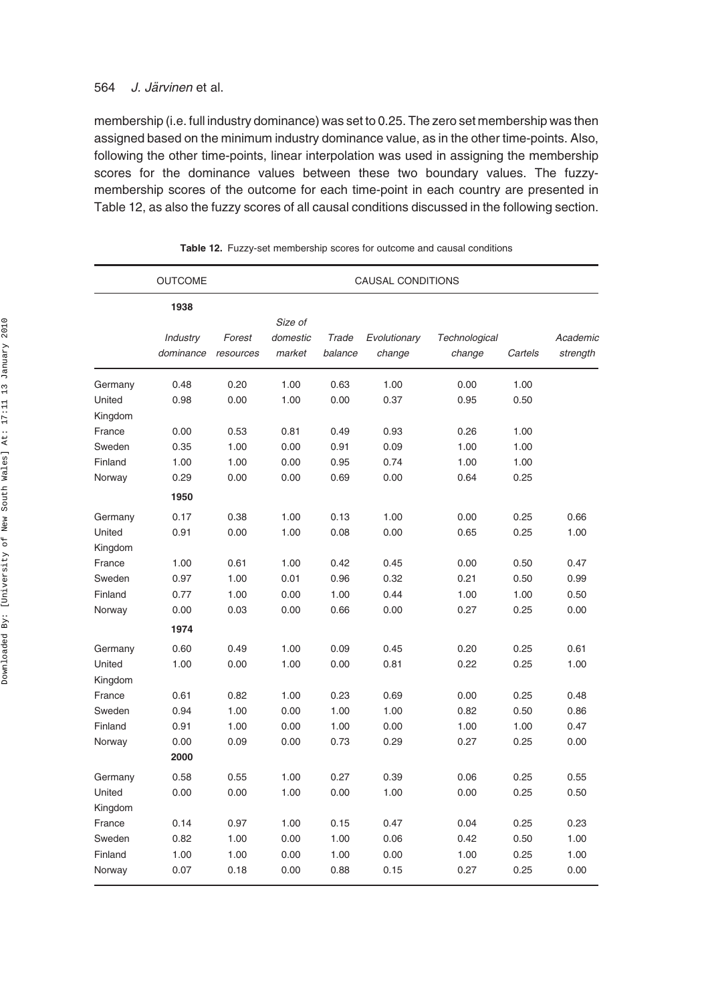#### 564 J. Järvinen et al.

membership (i.e. full industry dominance) was set to 0.25. The zero set membership was then assigned based on the minimum industry dominance value, as in the other time-points. Also, following the other time-points, linear interpolation was used in assigning the membership scores for the dominance values between these two boundary values. The fuzzymembership scores of the outcome for each time-point in each country are presented in Table 12, as also the fuzzy scores of all causal conditions discussed in the following section.

|                   | <b>OUTCOME</b>        |                     |                    | <b>CAUSAL CONDITIONS</b> |                        |                         |         |                      |
|-------------------|-----------------------|---------------------|--------------------|--------------------------|------------------------|-------------------------|---------|----------------------|
|                   | 1938                  |                     | Size of            |                          |                        |                         |         |                      |
|                   | Industry<br>dominance | Forest<br>resources | domestic<br>market | Trade<br>balance         | Evolutionary<br>change | Technological<br>change | Cartels | Academic<br>strength |
| Germany           | 0.48                  | 0.20                | 1.00               | 0.63                     | 1.00                   | 0.00                    | 1.00    |                      |
| United<br>Kingdom | 0.98                  | 0.00                | 1.00               | 0.00                     | 0.37                   | 0.95                    | 0.50    |                      |
| France            | 0.00                  | 0.53                | 0.81               | 0.49                     | 0.93                   | 0.26                    | 1.00    |                      |
| Sweden            | 0.35                  | 1.00                | 0.00               | 0.91                     | 0.09                   | 1.00                    | 1.00    |                      |
| Finland           | 1.00                  | 1.00                | 0.00               | 0.95                     | 0.74                   | 1.00                    | 1.00    |                      |
| Norway            | 0.29                  | 0.00                | 0.00               | 0.69                     | 0.00                   | 0.64                    | 0.25    |                      |
|                   | 1950                  |                     |                    |                          |                        |                         |         |                      |
| Germany           | 0.17                  | 0.38                | 1.00               | 0.13                     | 1.00                   | 0.00                    | 0.25    | 0.66                 |
| United<br>Kingdom | 0.91                  | 0.00                | 1.00               | 0.08                     | 0.00                   | 0.65                    | 0.25    | 1.00                 |
| France            | 1.00                  | 0.61                | 1.00               | 0.42                     | 0.45                   | 0.00                    | 0.50    | 0.47                 |
| Sweden            | 0.97                  | 1.00                | 0.01               | 0.96                     | 0.32                   | 0.21                    | 0.50    | 0.99                 |
| Finland           | 0.77                  | 1.00                | 0.00               | 1.00                     | 0.44                   | 1.00                    | 1.00    | 0.50                 |
| Norway            | 0.00                  | 0.03                | 0.00               | 0.66                     | 0.00                   | 0.27                    | 0.25    | 0.00                 |
|                   | 1974                  |                     |                    |                          |                        |                         |         |                      |
| Germany           | 0.60                  | 0.49                | 1.00               | 0.09                     | 0.45                   | 0.20                    | 0.25    | 0.61                 |
| United<br>Kingdom | 1.00                  | 0.00                | 1.00               | 0.00                     | 0.81                   | 0.22                    | 0.25    | 1.00                 |
| France            | 0.61                  | 0.82                | 1.00               | 0.23                     | 0.69                   | 0.00                    | 0.25    | 0.48                 |
| Sweden            | 0.94                  | 1.00                | 0.00               | 1.00                     | 1.00                   | 0.82                    | 0.50    | 0.86                 |
| Finland           | 0.91                  | 1.00                | 0.00               | 1.00                     | 0.00                   | 1.00                    | 1.00    | 0.47                 |
| Norway            | 0.00                  | 0.09                | 0.00               | 0.73                     | 0.29                   | 0.27                    | 0.25    | 0.00                 |
|                   | 2000                  |                     |                    |                          |                        |                         |         |                      |
| Germany           | 0.58                  | 0.55                | 1.00               | 0.27                     | 0.39                   | 0.06                    | 0.25    | 0.55                 |
| United            | 0.00                  | 0.00                | 1.00               | 0.00                     | 1.00                   | 0.00                    | 0.25    | 0.50                 |
| Kingdom           |                       |                     |                    |                          |                        |                         |         |                      |
| France            | 0.14                  | 0.97                | 1.00               | 0.15                     | 0.47                   | 0.04                    | 0.25    | 0.23                 |
| Sweden            | 0.82                  | 1.00                | 0.00               | 1.00                     | 0.06                   | 0.42                    | 0.50    | 1.00                 |
| Finland           | 1.00                  | 1.00                | 0.00               | 1.00                     | 0.00                   | 1.00                    | 0.25    | 1.00                 |
| Norway            | 0.07                  | 0.18                | 0.00               | 0.88                     | 0.15                   | 0.27                    | 0.25    | 0.00                 |

Table 12. Fuzzy-set membership scores for outcome and causal conditions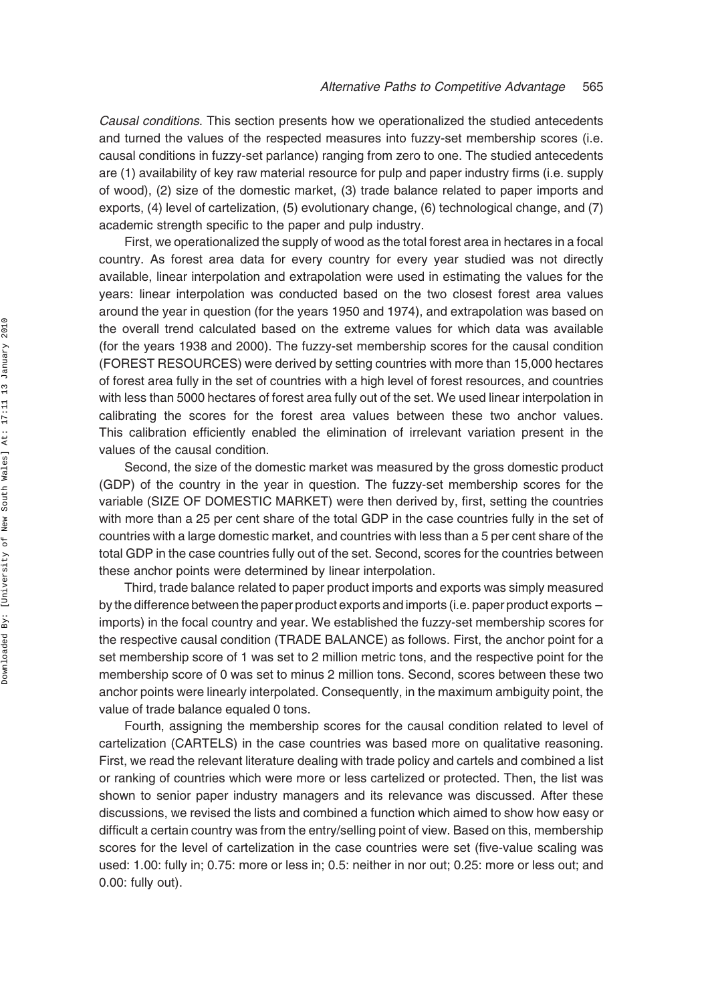Causal conditions. This section presents how we operationalized the studied antecedents and turned the values of the respected measures into fuzzy-set membership scores (i.e. causal conditions in fuzzy-set parlance) ranging from zero to one. The studied antecedents are (1) availability of key raw material resource for pulp and paper industry firms (i.e. supply of wood), (2) size of the domestic market, (3) trade balance related to paper imports and exports, (4) level of cartelization, (5) evolutionary change, (6) technological change, and (7) academic strength specific to the paper and pulp industry.

First, we operationalized the supply of wood as the total forest area in hectares in a focal country. As forest area data for every country for every year studied was not directly available, linear interpolation and extrapolation were used in estimating the values for the years: linear interpolation was conducted based on the two closest forest area values around the year in question (for the years 1950 and 1974), and extrapolation was based on the overall trend calculated based on the extreme values for which data was available (for the years 1938 and 2000). The fuzzy-set membership scores for the causal condition (FOREST RESOURCES) were derived by setting countries with more than 15,000 hectares of forest area fully in the set of countries with a high level of forest resources, and countries with less than 5000 hectares of forest area fully out of the set. We used linear interpolation in calibrating the scores for the forest area values between these two anchor values. This calibration efficiently enabled the elimination of irrelevant variation present in the values of the causal condition.

Second, the size of the domestic market was measured by the gross domestic product (GDP) of the country in the year in question. The fuzzy-set membership scores for the variable (SIZE OF DOMESTIC MARKET) were then derived by, first, setting the countries with more than a 25 per cent share of the total GDP in the case countries fully in the set of countries with a large domestic market, and countries with less than a 5 per cent share of the total GDP in the case countries fully out of the set. Second, scores for the countries between these anchor points were determined by linear interpolation.

Third, trade balance related to paper product imports and exports was simply measured by the difference between the paper product exports and imports (i.e. paper product exports – imports) in the focal country and year. We established the fuzzy-set membership scores for the respective causal condition (TRADE BALANCE) as follows. First, the anchor point for a set membership score of 1 was set to 2 million metric tons, and the respective point for the membership score of 0 was set to minus 2 million tons. Second, scores between these two anchor points were linearly interpolated. Consequently, in the maximum ambiguity point, the value of trade balance equaled 0 tons.

Fourth, assigning the membership scores for the causal condition related to level of cartelization (CARTELS) in the case countries was based more on qualitative reasoning. First, we read the relevant literature dealing with trade policy and cartels and combined a list or ranking of countries which were more or less cartelized or protected. Then, the list was shown to senior paper industry managers and its relevance was discussed. After these discussions, we revised the lists and combined a function which aimed to show how easy or difficult a certain country was from the entry/selling point of view. Based on this, membership scores for the level of cartelization in the case countries were set (five-value scaling was used: 1.00: fully in; 0.75: more or less in; 0.5: neither in nor out; 0.25: more or less out; and 0.00: fully out).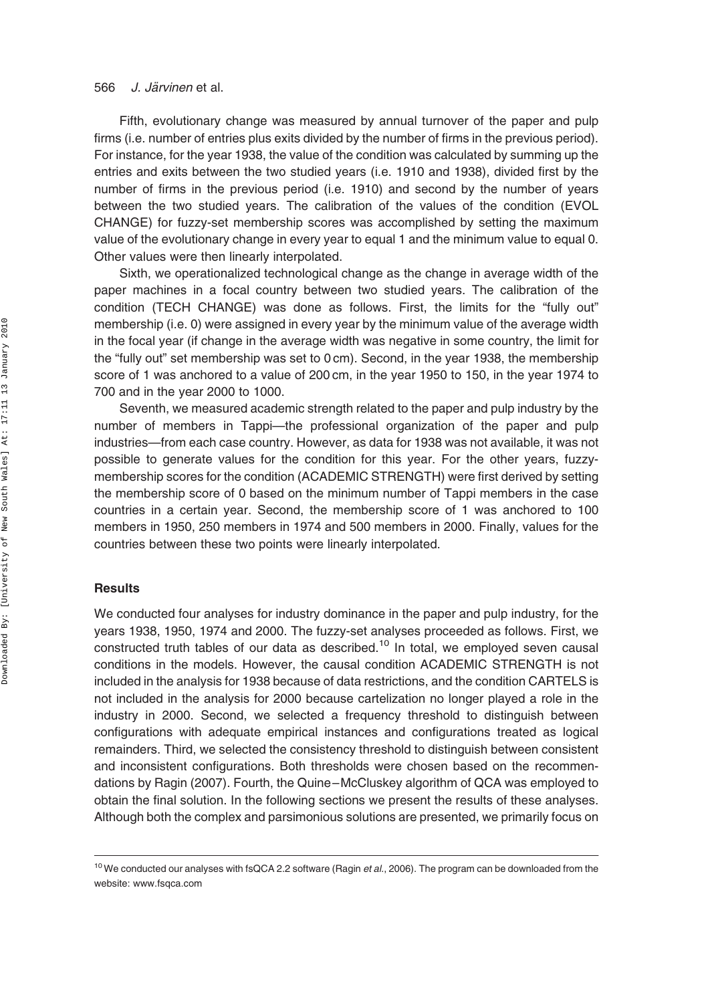#### 566 J. Järvinen et al.

Fifth, evolutionary change was measured by annual turnover of the paper and pulp firms (i.e. number of entries plus exits divided by the number of firms in the previous period). For instance, for the year 1938, the value of the condition was calculated by summing up the entries and exits between the two studied years (i.e. 1910 and 1938), divided first by the number of firms in the previous period (i.e. 1910) and second by the number of years between the two studied years. The calibration of the values of the condition (EVOL CHANGE) for fuzzy-set membership scores was accomplished by setting the maximum value of the evolutionary change in every year to equal 1 and the minimum value to equal 0. Other values were then linearly interpolated.

Sixth, we operationalized technological change as the change in average width of the paper machines in a focal country between two studied years. The calibration of the condition (TECH CHANGE) was done as follows. First, the limits for the "fully out" membership (i.e. 0) were assigned in every year by the minimum value of the average width in the focal year (if change in the average width was negative in some country, the limit for the "fully out" set membership was set to 0 cm). Second, in the year 1938, the membership score of 1 was anchored to a value of 200 cm, in the year 1950 to 150, in the year 1974 to 700 and in the year 2000 to 1000.

Seventh, we measured academic strength related to the paper and pulp industry by the number of members in Tappi—the professional organization of the paper and pulp industries—from each case country. However, as data for 1938 was not available, it was not possible to generate values for the condition for this year. For the other years, fuzzymembership scores for the condition (ACADEMIC STRENGTH) were first derived by setting the membership score of 0 based on the minimum number of Tappi members in the case countries in a certain year. Second, the membership score of 1 was anchored to 100 members in 1950, 250 members in 1974 and 500 members in 2000. Finally, values for the countries between these two points were linearly interpolated.

#### **Results**

We conducted four analyses for industry dominance in the paper and pulp industry, for the years 1938, 1950, 1974 and 2000. The fuzzy-set analyses proceeded as follows. First, we constructed truth tables of our data as described.<sup>10</sup> In total, we employed seven causal conditions in the models. However, the causal condition ACADEMIC STRENGTH is not included in the analysis for 1938 because of data restrictions, and the condition CARTELS is not included in the analysis for 2000 because cartelization no longer played a role in the industry in 2000. Second, we selected a frequency threshold to distinguish between configurations with adequate empirical instances and configurations treated as logical remainders. Third, we selected the consistency threshold to distinguish between consistent and inconsistent configurations. Both thresholds were chosen based on the recommendations by Ragin (2007). Fourth, the Quine–McCluskey algorithm of QCA was employed to obtain the final solution. In the following sections we present the results of these analyses. Although both the complex and parsimonious solutions are presented, we primarily focus on

<sup>&</sup>lt;sup>10</sup> We conducted our analyses with fsQCA 2.2 software (Ragin et al., 2006). The program can be downloaded from the website: www.fsqca.com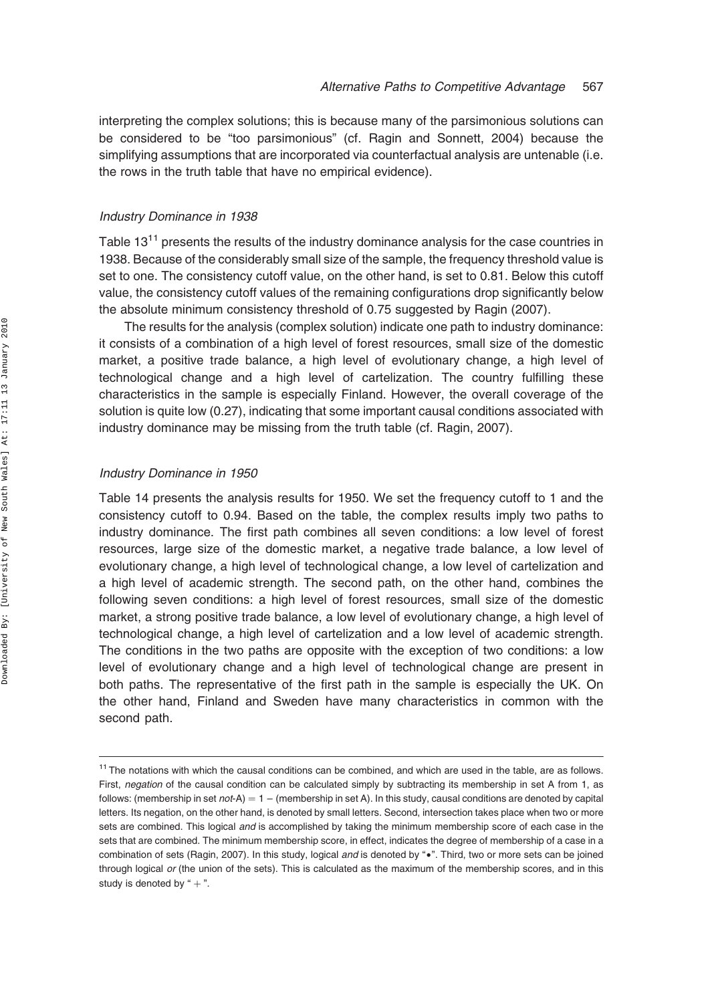interpreting the complex solutions; this is because many of the parsimonious solutions can be considered to be "too parsimonious" (cf. Ragin and Sonnett, 2004) because the simplifying assumptions that are incorporated via counterfactual analysis are untenable (i.e. the rows in the truth table that have no empirical evidence).

#### Industry Dominance in 1938

Table  $13<sup>11</sup>$  presents the results of the industry dominance analysis for the case countries in 1938. Because of the considerably small size of the sample, the frequency threshold value is set to one. The consistency cutoff value, on the other hand, is set to 0.81. Below this cutoff value, the consistency cutoff values of the remaining configurations drop significantly below the absolute minimum consistency threshold of 0.75 suggested by Ragin (2007).

The results for the analysis (complex solution) indicate one path to industry dominance: it consists of a combination of a high level of forest resources, small size of the domestic market, a positive trade balance, a high level of evolutionary change, a high level of technological change and a high level of cartelization. The country fulfilling these characteristics in the sample is especially Finland. However, the overall coverage of the solution is quite low (0.27), indicating that some important causal conditions associated with industry dominance may be missing from the truth table (cf. Ragin, 2007).

#### Industry Dominance in 1950

Table 14 presents the analysis results for 1950. We set the frequency cutoff to 1 and the consistency cutoff to 0.94. Based on the table, the complex results imply two paths to industry dominance. The first path combines all seven conditions: a low level of forest resources, large size of the domestic market, a negative trade balance, a low level of evolutionary change, a high level of technological change, a low level of cartelization and a high level of academic strength. The second path, on the other hand, combines the following seven conditions: a high level of forest resources, small size of the domestic market, a strong positive trade balance, a low level of evolutionary change, a high level of technological change, a high level of cartelization and a low level of academic strength. The conditions in the two paths are opposite with the exception of two conditions: a low level of evolutionary change and a high level of technological change are present in both paths. The representative of the first path in the sample is especially the UK. On the other hand, Finland and Sweden have many characteristics in common with the second path.

 $11$  The notations with which the causal conditions can be combined, and which are used in the table, are as follows. First, negation of the causal condition can be calculated simply by subtracting its membership in set A from 1, as follows: (membership in set not-A) =  $1 -$  (membership in set A). In this study, causal conditions are denoted by capital letters. Its negation, on the other hand, is denoted by small letters. Second, intersection takes place when two or more sets are combined. This logical and is accomplished by taking the minimum membership score of each case in the sets that are combined. The minimum membership score, in effect, indicates the degree of membership of a case in a combination of sets (Ragin, 2007). In this study, logical and is denoted by "•". Third, two or more sets can be joined through logical or (the union of the sets). This is calculated as the maximum of the membership scores, and in this study is denoted by " $+$ ".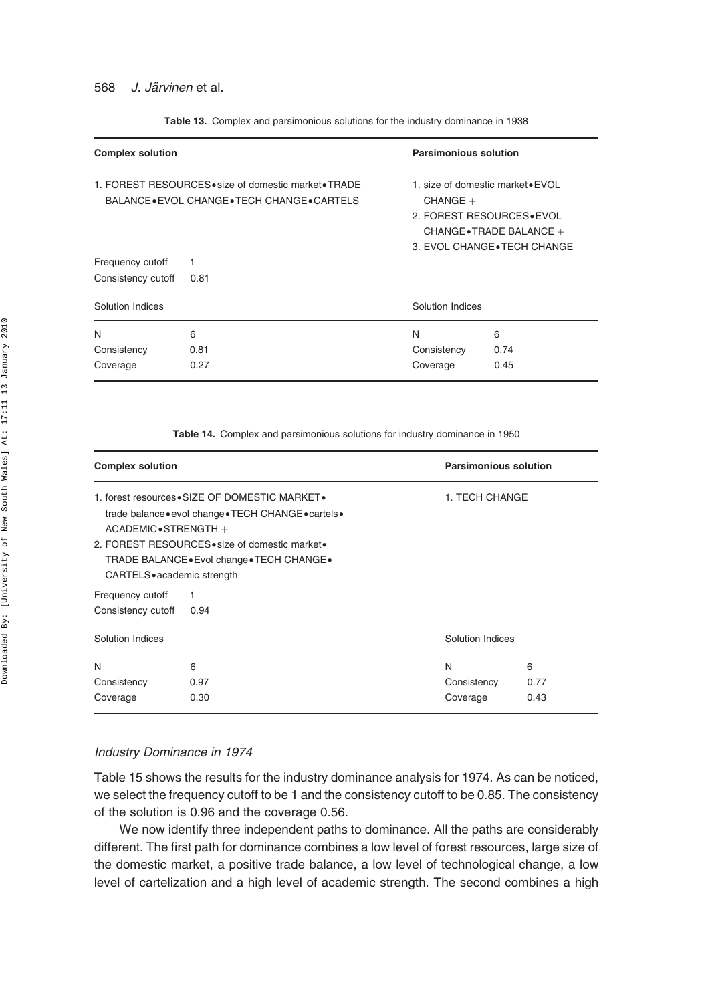|  |  |  |  |  |  | <b>Table 13.</b> Complex and parsimonious solutions for the industry dominance in 1938 |
|--|--|--|--|--|--|----------------------------------------------------------------------------------------|
|--|--|--|--|--|--|----------------------------------------------------------------------------------------|

| <b>Complex solution</b>                |                                                                                                        | <b>Parsimonious solution</b>                                                                                                             |                   |  |  |
|----------------------------------------|--------------------------------------------------------------------------------------------------------|------------------------------------------------------------------------------------------------------------------------------------------|-------------------|--|--|
| Frequency cutoff<br>Consistency cutoff | 1. FOREST RESOURCES. size of domestic market. TRADE<br>BALANCE.EVOL CHANGE.TECH CHANGE.CARTELS<br>0.81 | 1. size of domestic market.EVOL<br>$CHANGE +$<br>2. FOREST RESOURCES . EVOL<br>CHANGE • TRADE BALANCE $+$<br>3. EVOL CHANGE. TECH CHANGE |                   |  |  |
| Solution Indices                       |                                                                                                        | Solution Indices                                                                                                                         |                   |  |  |
| N<br>Consistency<br>Coverage           | 6<br>0.81<br>0.27                                                                                      | N<br>Consistency<br>Coverage                                                                                                             | 6<br>0.74<br>0.45 |  |  |

Table 14. Complex and parsimonious solutions for industry dominance in 1950

| <b>Complex solution</b>                                    |                                                                                                                                                                                                           |                  | <b>Parsimonious solution</b> |  |  |
|------------------------------------------------------------|-----------------------------------------------------------------------------------------------------------------------------------------------------------------------------------------------------------|------------------|------------------------------|--|--|
| $ACADEMIC \cdot STRENGTH +$<br>CARTELS • academic strength | 1. forest resources · SIZE OF DOMESTIC MARKET •<br>trade balance . evol change . TECH CHANGE . cartels .<br>2. FOREST RESOURCES • size of domestic market •<br>TRADE BALANCE . Evol change . TECH CHANGE. | 1. TECH CHANGE   |                              |  |  |
| Frequency cutoff                                           |                                                                                                                                                                                                           |                  |                              |  |  |
| Consistency cutoff                                         | 0.94                                                                                                                                                                                                      |                  |                              |  |  |
| Solution Indices                                           |                                                                                                                                                                                                           | Solution Indices |                              |  |  |
| N                                                          | 6                                                                                                                                                                                                         | N                | 6                            |  |  |
| Consistency                                                | 0.97                                                                                                                                                                                                      | Consistency      | 0.77                         |  |  |
| Coverage                                                   | 0.30                                                                                                                                                                                                      | Coverage         | 0.43                         |  |  |

#### Industry Dominance in 1974

Table 15 shows the results for the industry dominance analysis for 1974. As can be noticed, we select the frequency cutoff to be 1 and the consistency cutoff to be 0.85. The consistency of the solution is 0.96 and the coverage 0.56.

We now identify three independent paths to dominance. All the paths are considerably different. The first path for dominance combines a low level of forest resources, large size of the domestic market, a positive trade balance, a low level of technological change, a low level of cartelization and a high level of academic strength. The second combines a high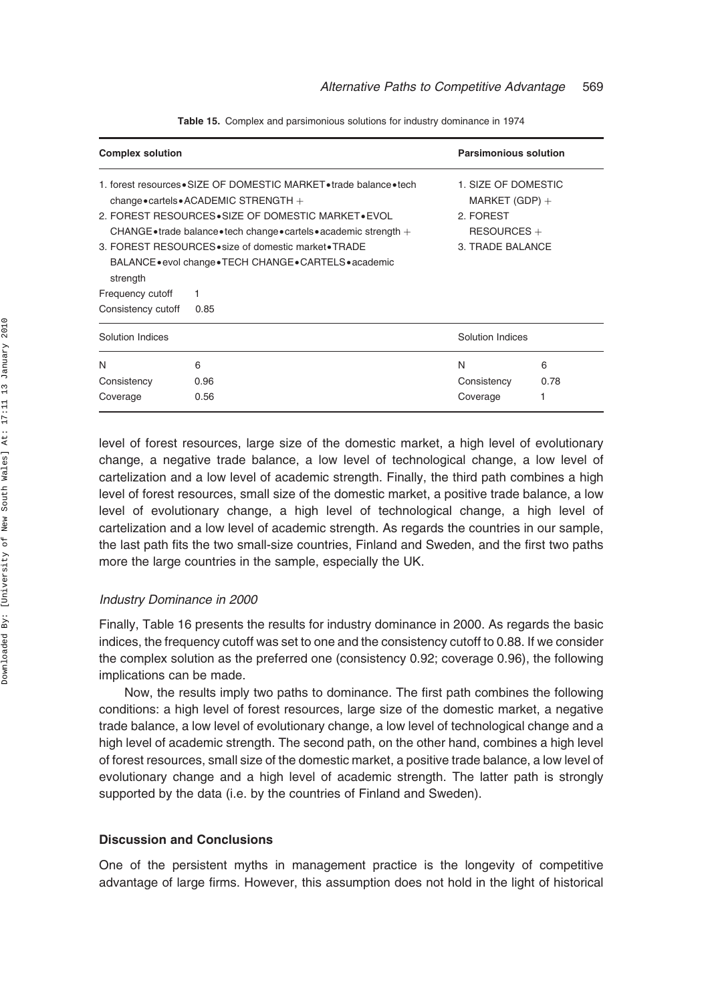| <b>Complex solution</b>                            |                                                                                                                                                                                                                                                                                                                                                                         | <b>Parsimonious solution</b>                                                              |           |  |
|----------------------------------------------------|-------------------------------------------------------------------------------------------------------------------------------------------------------------------------------------------------------------------------------------------------------------------------------------------------------------------------------------------------------------------------|-------------------------------------------------------------------------------------------|-----------|--|
| strength<br>Frequency cutoff<br>Consistency cutoff | 1. forest resources•SIZE OF DOMESTIC MARKET•trade balance•tech<br>change • cartels • ACADEMIC STRENGTH +<br>2. FOREST RESOURCES∙SIZE OF DOMESTIC MARKET∙EVOL<br>CHANGE • trade balance • tech change • cartels • academic strength +<br>3. FOREST RESOURCES • size of domestic market • TRADE<br>BALANCE . evol change . TECH CHANGE . CARTELS . academic<br>1.<br>0.85 | 1. SIZE OF DOMESTIC<br>MARKET (GDP) $+$<br>2. FOREST<br>$RESOURCES +$<br>3. TRADE BALANCE |           |  |
| <b>Solution Indices</b>                            |                                                                                                                                                                                                                                                                                                                                                                         | Solution Indices                                                                          |           |  |
| N<br>Consistency<br>Coverage                       | 6<br>0.96<br>0.56                                                                                                                                                                                                                                                                                                                                                       | N<br>Consistency<br>Coverage                                                              | 6<br>0.78 |  |

Table 15. Complex and parsimonious solutions for industry dominance in 1974

level of forest resources, large size of the domestic market, a high level of evolutionary change, a negative trade balance, a low level of technological change, a low level of cartelization and a low level of academic strength. Finally, the third path combines a high level of forest resources, small size of the domestic market, a positive trade balance, a low level of evolutionary change, a high level of technological change, a high level of cartelization and a low level of academic strength. As regards the countries in our sample, the last path fits the two small-size countries, Finland and Sweden, and the first two paths more the large countries in the sample, especially the UK.

#### Industry Dominance in 2000

Finally, Table 16 presents the results for industry dominance in 2000. As regards the basic indices, the frequency cutoff was set to one and the consistency cutoff to 0.88. If we consider the complex solution as the preferred one (consistency 0.92; coverage 0.96), the following implications can be made.

Now, the results imply two paths to dominance. The first path combines the following conditions: a high level of forest resources, large size of the domestic market, a negative trade balance, a low level of evolutionary change, a low level of technological change and a high level of academic strength. The second path, on the other hand, combines a high level of forest resources, small size of the domestic market, a positive trade balance, a low level of evolutionary change and a high level of academic strength. The latter path is strongly supported by the data (i.e. by the countries of Finland and Sweden).

#### Discussion and Conclusions

One of the persistent myths in management practice is the longevity of competitive advantage of large firms. However, this assumption does not hold in the light of historical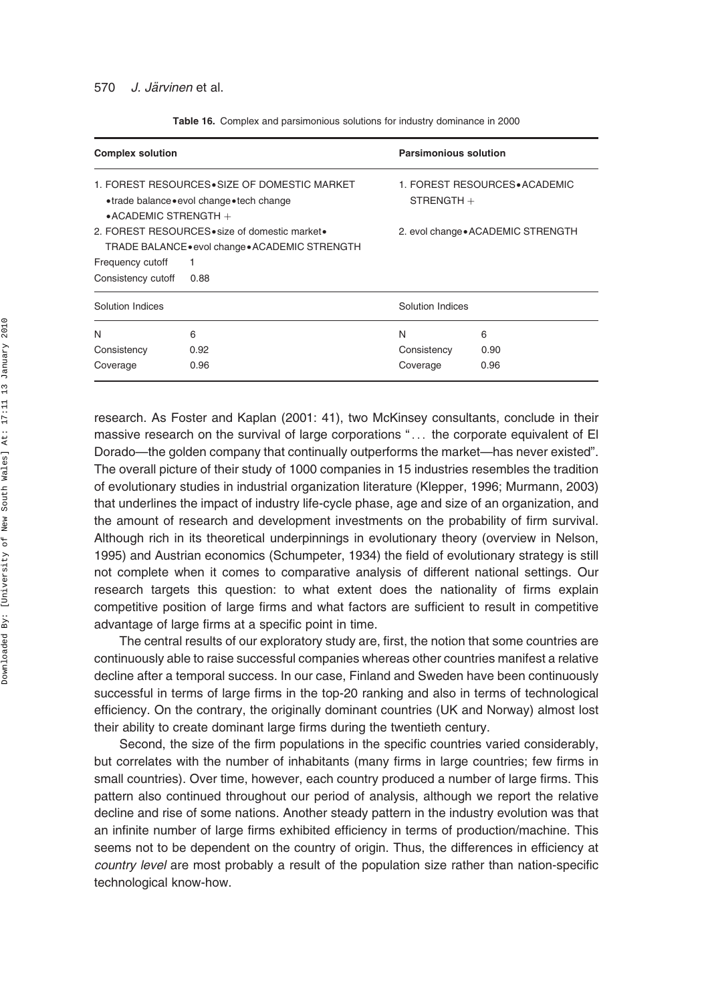| <b>Complex solution</b>                |                                                                                                          | <b>Parsimonious solution</b>                 |                   |  |
|----------------------------------------|----------------------------------------------------------------------------------------------------------|----------------------------------------------|-------------------|--|
| $\bullet$ ACADEMIC STRENGTH $+$        | 1. FOREST RESOURCES. SIZE OF DOMESTIC MARKET<br>•trade balance • evol change • tech change               | 1. FOREST RESOURCES • ACADEMIC<br>STRENGTH + |                   |  |
| Frequency cutoff<br>Consistency cutoff | 2. FOREST RESOURCES • size of domestic market •<br>TRADE BALANCE. evol change. ACADEMIC STRENGTH<br>0.88 | 2. evol change . ACADEMIC STRENGTH           |                   |  |
| Solution Indices                       |                                                                                                          | Solution Indices                             |                   |  |
| N<br>Consistency<br>Coverage           | 6<br>0.92<br>0.96                                                                                        | N<br>Consistency<br>Coverage                 | 6<br>0.90<br>0.96 |  |

Table 16. Complex and parsimonious solutions for industry dominance in 2000

research. As Foster and Kaplan (2001: 41), two McKinsey consultants, conclude in their massive research on the survival of large corporations "... the corporate equivalent of El Dorado—the golden company that continually outperforms the market—has never existed". The overall picture of their study of 1000 companies in 15 industries resembles the tradition of evolutionary studies in industrial organization literature (Klepper, 1996; Murmann, 2003) that underlines the impact of industry life-cycle phase, age and size of an organization, and the amount of research and development investments on the probability of firm survival. Although rich in its theoretical underpinnings in evolutionary theory (overview in Nelson, 1995) and Austrian economics (Schumpeter, 1934) the field of evolutionary strategy is still not complete when it comes to comparative analysis of different national settings. Our research targets this question: to what extent does the nationality of firms explain competitive position of large firms and what factors are sufficient to result in competitive advantage of large firms at a specific point in time.

The central results of our exploratory study are, first, the notion that some countries are continuously able to raise successful companies whereas other countries manifest a relative decline after a temporal success. In our case, Finland and Sweden have been continuously successful in terms of large firms in the top-20 ranking and also in terms of technological efficiency. On the contrary, the originally dominant countries (UK and Norway) almost lost their ability to create dominant large firms during the twentieth century.

Second, the size of the firm populations in the specific countries varied considerably, but correlates with the number of inhabitants (many firms in large countries; few firms in small countries). Over time, however, each country produced a number of large firms. This pattern also continued throughout our period of analysis, although we report the relative decline and rise of some nations. Another steady pattern in the industry evolution was that an infinite number of large firms exhibited efficiency in terms of production/machine. This seems not to be dependent on the country of origin. Thus, the differences in efficiency at country level are most probably a result of the population size rather than nation-specific technological know-how.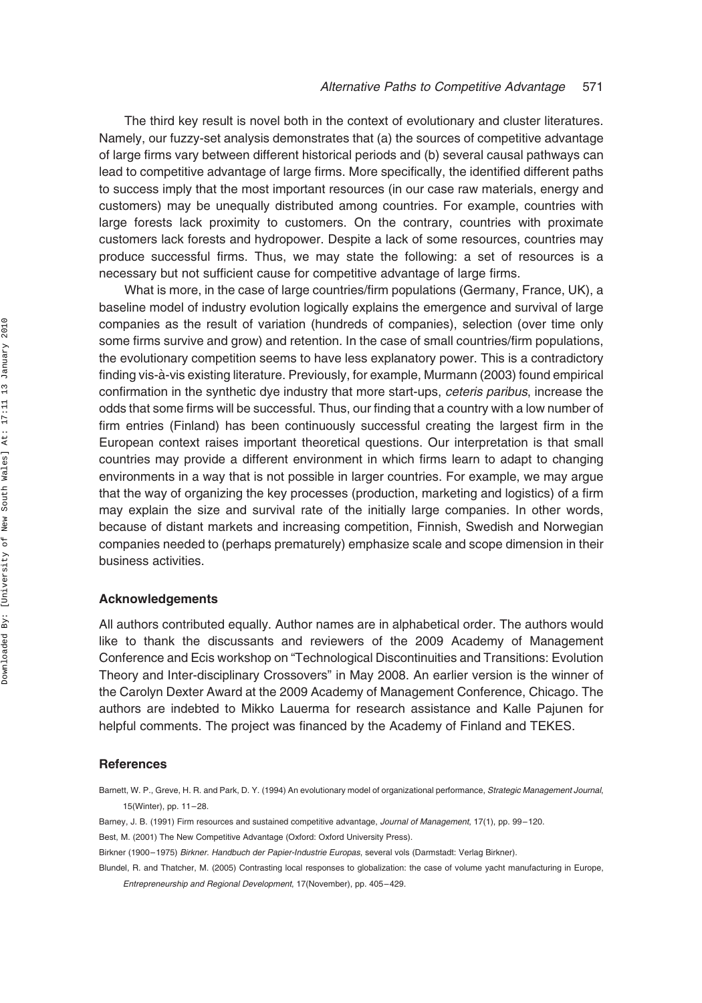The third key result is novel both in the context of evolutionary and cluster literatures. Namely, our fuzzy-set analysis demonstrates that (a) the sources of competitive advantage of large firms vary between different historical periods and (b) several causal pathways can lead to competitive advantage of large firms. More specifically, the identified different paths to success imply that the most important resources (in our case raw materials, energy and customers) may be unequally distributed among countries. For example, countries with large forests lack proximity to customers. On the contrary, countries with proximate customers lack forests and hydropower. Despite a lack of some resources, countries may produce successful firms. Thus, we may state the following: a set of resources is a necessary but not sufficient cause for competitive advantage of large firms.

What is more, in the case of large countries/firm populations (Germany, France, UK), a baseline model of industry evolution logically explains the emergence and survival of large companies as the result of variation (hundreds of companies), selection (over time only some firms survive and grow) and retention. In the case of small countries/firm populations, the evolutionary competition seems to have less explanatory power. This is a contradictory finding vis-a`-vis existing literature. Previously, for example, Murmann (2003) found empirical confirmation in the synthetic dye industry that more start-ups, *ceteris paribus*, increase the odds that some firms will be successful. Thus, our finding that a country with a low number of firm entries (Finland) has been continuously successful creating the largest firm in the European context raises important theoretical questions. Our interpretation is that small countries may provide a different environment in which firms learn to adapt to changing environments in a way that is not possible in larger countries. For example, we may argue that the way of organizing the key processes (production, marketing and logistics) of a firm may explain the size and survival rate of the initially large companies. In other words, because of distant markets and increasing competition, Finnish, Swedish and Norwegian companies needed to (perhaps prematurely) emphasize scale and scope dimension in their business activities.

#### Acknowledgements

All authors contributed equally. Author names are in alphabetical order. The authors would like to thank the discussants and reviewers of the 2009 Academy of Management Conference and Ecis workshop on "Technological Discontinuities and Transitions: Evolution Theory and Inter-disciplinary Crossovers" in May 2008. An earlier version is the winner of the Carolyn Dexter Award at the 2009 Academy of Management Conference, Chicago. The authors are indebted to Mikko Lauerma for research assistance and Kalle Pajunen for helpful comments. The project was financed by the Academy of Finland and TEKES.

#### References

Barnett, W. P., Greve, H. R. and Park, D. Y. (1994) An evolutionary model of organizational performance, Strategic Management Journal, 15(Winter), pp. 11–28.

Barney, J. B. (1991) Firm resources and sustained competitive advantage, Journal of Management, 17(1), pp. 99-120. Best, M. (2001) The New Competitive Advantage (Oxford: Oxford University Press).

Birkner (1900–1975) Birkner. Handbuch der Papier-Industrie Europas, several vols (Darmstadt: Verlag Birkner).

Blundel, R. and Thatcher, M. (2005) Contrasting local responses to globalization: the case of volume yacht manufacturing in Europe, Entrepreneurship and Regional Development, 17(November), pp. 405–429.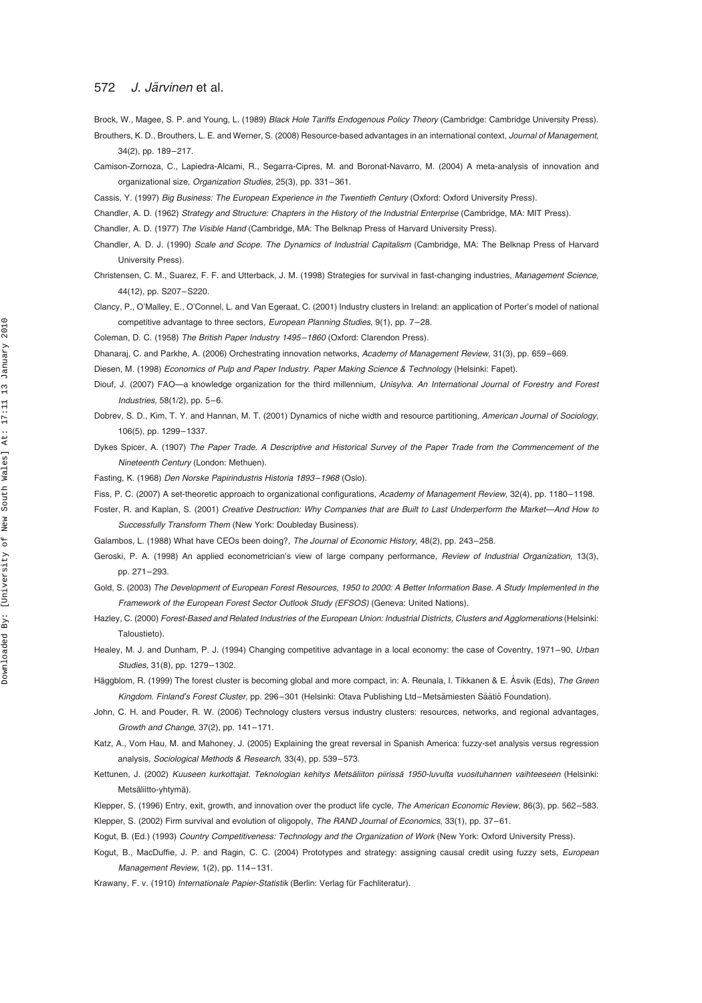#### 572 J. Järvinen et al.

Brock, W., Magee, S. P. and Young, L. (1989) Black Hole Tariffs Endogenous Policy Theory (Cambridge: Cambridge University Press).

- Brouthers, K. D., Brouthers, L. E. and Werner, S. (2008) Resource-based advantages in an international context, Journal of Management, 34(2), pp. 189–217.
- Camison-Zornoza, C., Lapiedra-Alcami, R., Segarra-Cipres, M. and Boronat-Navarro, M. (2004) A meta-analysis of innovation and organizational size, Organization Studies, 25(3), pp. 331–361.
- Cassis, Y. (1997) Big Business: The European Experience in the Twentieth Century (Oxford: Oxford University Press).
- Chandler, A. D. (1962) Strategy and Structure: Chapters in the History of the Industrial Enterprise (Cambridge, MA: MIT Press).
- Chandler, A. D. (1977) The Visible Hand (Cambridge, MA: The Belknap Press of Harvard University Press).
- Chandler, A. D. J. (1990) Scale and Scope. The Dynamics of Industrial Capitalism (Cambridge, MA: The Belknap Press of Harvard University Press).
- Christensen, C. M., Suarez, F. F. and Utterback, J. M. (1998) Strategies for survival in fast-changing industries, Management Science, 44(12), pp. S207–S220.
- Clancy, P., O'Malley, E., O'Connel, L. and Van Egeraat, C. (2001) Industry clusters in Ireland: an application of Porter's model of national competitive advantage to three sectors, European Planning Studies, 9(1), pp. 7–28.

Coleman, D. C. (1958) The British Paper Industry 1495–1860 (Oxford: Clarendon Press).

Dhanaraj, C. and Parkhe, A. (2006) Orchestrating innovation networks, Academy of Management Review, 31(3), pp. 659–669.

Diesen, M. (1998) Economics of Pulp and Paper Industry. Paper Making Science & Technology (Helsinki: Fapet).

- Diouf, J. (2007) FAO—a knowledge organization for the third millennium, Unisylva. An International Journal of Forestry and Forest Industries,  $58(1/2)$ , pp.  $5-6$ .
- Dobrev, S. D., Kim, T. Y. and Hannan, M. T. (2001) Dynamics of niche width and resource partitioning, American Journal of Sociology, 106(5), pp. 1299–1337.
- Dykes Spicer, A. (1907) The Paper Trade. A Descriptive and Historical Survey of the Paper Trade from the Commencement of the Nineteenth Century (London: Methuen).
- Fasting, K. (1968) Den Norske Papirindustris Historia 1893–1968 (Oslo).
- Fiss, P. C. (2007) A set-theoretic approach to organizational configurations, Academy of Management Review, 32(4), pp. 1180–1198.
- Foster, R. and Kaplan, S. (2001) Creative Destruction: Why Companies that are Built to Last Underperform the Market—And How to Successfully Transform Them (New York: Doubleday Business).
- Galambos, L. (1988) What have CEOs been doing?, The Journal of Economic History, 48(2), pp. 243–258.
- Geroski, P. A. (1998) An applied econometrician's view of large company performance, *Review of Industrial Organization*, 13(3), pp. 271–293.
- Gold, S. (2003) The Development of European Forest Resources, 1950 to 2000: A Better Information Base. A Study Implemented in the Framework of the European Forest Sector Outlook Study (EFSOS) (Geneva: United Nations).
- Hazley, C. (2000) Forest-Based and Related Industries of the European Union: Industrial Districts, Clusters and Agglomerations (Helsinki: Taloustieto).
- Healey, M. J. and Dunham, P. J. (1994) Changing competitive advantage in a local economy: the case of Coventry, 1971–90, Urban Studies, 31(8), pp. 1279–1302.
- Häggblom, R. (1999) The forest cluster is becoming global and more compact, in: A. Reunala, I. Tikkanen & E. Åsvik (Eds), The Green Kingdom. Finland's Forest Cluster, pp. 296-301 (Helsinki: Otava Publishing Ltd-Metsämiesten Säätiö Foundation).
- John, C. H. and Pouder, R. W. (2006) Technology clusters versus industry clusters: resources, networks, and regional advantages, Growth and Change, 37(2), pp. 141–171.
- Katz, A., Vom Hau, M. and Mahoney, J. (2005) Explaining the great reversal in Spanish America: fuzzy-set analysis versus regression analysis, Sociological Methods & Research, 33(4), pp. 539–573.
- Kettunen, J. (2002) Kuuseen kurkottajat. Teknologian kehitys Metsäliiton piirissä 1950-luvulta vuosituhannen vaihteeseen (Helsinki: Metsäliitto-vhtvmä).
- Klepper, S. (1996) Entry, exit, growth, and innovation over the product life cycle, The American Economic Review, 86(3), pp. 562–583. Klepper, S. (2002) Firm survival and evolution of oligopoly, The RAND Journal of Economics, 33(1), pp. 37–61.
- Kogut, B. (Ed.) (1993) Country Competitiveness: Technology and the Organization of Work (New York: Oxford University Press).
- Kogut, B., MacDuffie, J. P. and Ragin, C. C. (2004) Prototypes and strategy: assigning causal credit using fuzzy sets, European Management Review, 1(2), pp. 114–131.

Krawany, F. v. (1910) Internationale Papier-Statistik (Berlin: Verlag für Fachliteratur).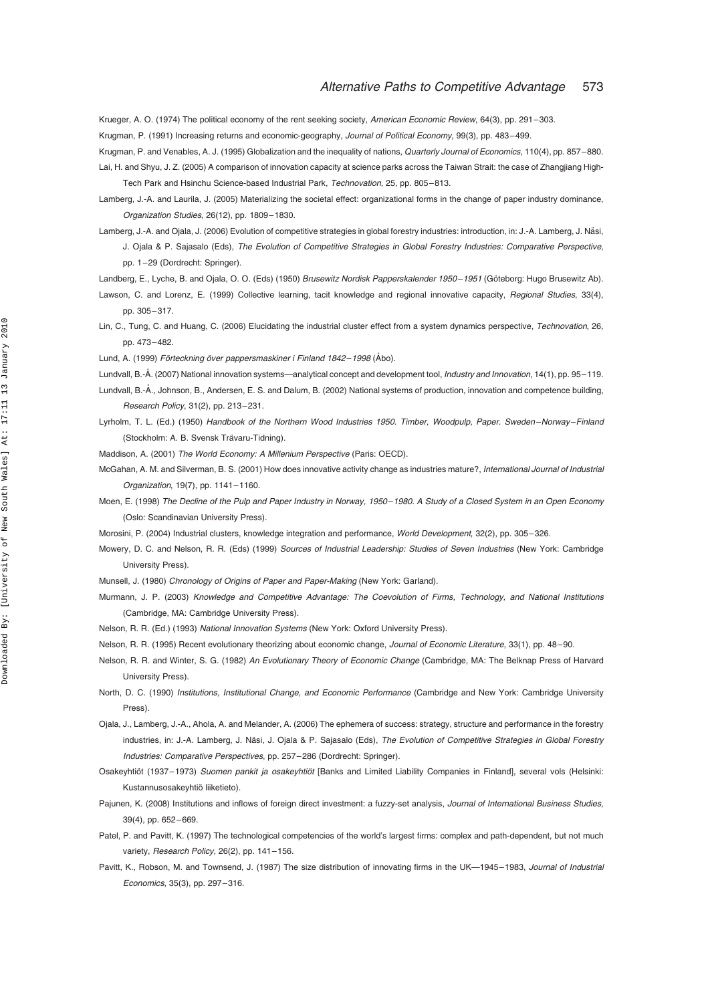Krueger, A. O. (1974) The political economy of the rent seeking society, American Economic Review, 64(3), pp. 291–303. Krugman, P. (1991) Increasing returns and economic-geography, Journal of Political Economy, 99(3), pp. 483–499. Krugman, P. and Venables, A. J. (1995) Globalization and the inequality of nations, Quarterly Journal of Economics, 110(4), pp. 857–880.

Lai, H. and Shyu, J. Z. (2005) A comparison of innovation capacity at science parks across the Taiwan Strait: the case of Zhangjiang High-Tech Park and Hsinchu Science-based Industrial Park, Technovation, 25, pp. 805–813.

Lamberg, J.-A. and Laurila, J. (2005) Materializing the societal effect: organizational forms in the change of paper industry dominance, Organization Studies, 26(12), pp. 1809–1830.

Lamberg, J.-A. and Ojala, J. (2006) Evolution of competitive strategies in global forestry industries: introduction, in: J.-A. Lamberg, J. Näsi, J. Ojala & P. Sajasalo (Eds), The Evolution of Competitive Strategies in Global Forestry Industries: Comparative Perspective, pp. 1–29 (Dordrecht: Springer).

Landberg, E., Lyche, B. and Ojala, O. O. (Eds) (1950) Brusewitz Nordisk Papperskalender 1950–1951 (Göteborg: Hugo Brusewitz Ab).

- Lawson, C. and Lorenz, E. (1999) Collective learning, tacit knowledge and regional innovative capacity, Regional Studies, 33(4), pp. 305–317.
- Lin, C., Tung, C. and Huang, C. (2006) Elucidating the industrial cluster effect from a system dynamics perspective, Technovation, 26, pp. 473–482.

Lund, A. (1999) Förteckning över pappersmaskiner i Finland 1842–1998 (Åbo).

Lundvall, B.-Å. (2007) National innovation systems—analytical concept and development tool, Industry and Innovation, 14(1), pp. 95-119.

Lundvall, B.-Å., Johnson, B., Andersen, E. S. and Dalum, B. (2002) National systems of production, innovation and competence building, Research Policy, 31(2), pp. 213–231.

Lyrholm, T. L. (Ed.) (1950) Handbook of the Northern Wood Industries 1950. Timber, Woodpulp, Paper. Sweden–Norway–Finland (Stockholm: A. B. Svensk Trävaru-Tidning).

Maddison, A. (2001) The World Economy: A Millenium Perspective (Paris: OECD).

- McGahan, A. M. and Silverman, B. S. (2001) How does innovative activity change as industries mature?, International Journal of Industrial Organization, 19(7), pp. 1141–1160.
- Moen, E. (1998) The Decline of the Pulp and Paper Industry in Norway, 1950–1980. A Study of a Closed System in an Open Economy (Oslo: Scandinavian University Press).

Morosini, P. (2004) Industrial clusters, knowledge integration and performance, World Development, 32(2), pp. 305–326.

Mowery, D. C. and Nelson, R. R. (Eds) (1999) Sources of Industrial Leadership: Studies of Seven Industries (New York: Cambridge University Press).

Munsell, J. (1980) Chronology of Origins of Paper and Paper-Making (New York: Garland).

- Murmann, J. P. (2003) Knowledge and Competitive Advantage: The Coevolution of Firms, Technology, and National Institutions (Cambridge, MA: Cambridge University Press).
- Nelson, R. R. (Ed.) (1993) National Innovation Systems (New York: Oxford University Press).
- Nelson, R. R. (1995) Recent evolutionary theorizing about economic change, Journal of Economic Literature, 33(1), pp. 48–90.
- Nelson, R. R. and Winter, S. G. (1982) An Evolutionary Theory of Economic Change (Cambridge, MA: The Belknap Press of Harvard University Press).
- North, D. C. (1990) Institutions, Institutional Change, and Economic Performance (Cambridge and New York: Cambridge University Press).
- Ojala, J., Lamberg, J.-A., Ahola, A. and Melander, A. (2006) The ephemera of success: strategy, structure and performance in the forestry industries, in: J.-A. Lamberg, J. Näsi, J. Ojala & P. Sajasalo (Eds), The Evolution of Competitive Strategies in Global Forestry Industries: Comparative Perspectives, pp. 257–286 (Dordrecht: Springer).
- Osakeyhtiöt (1937–1973) Suomen pankit ja osakeyhtiöt [Banks and Limited Liability Companies in Finland], several vols (Helsinki: Kustannusosakeyhtiö liiketieto).
- Pajunen, K. (2008) Institutions and inflows of foreign direct investment: a fuzzy-set analysis, Journal of International Business Studies, 39(4), pp. 652–669.
- Patel, P. and Pavitt, K. (1997) The technological competencies of the world's largest firms: complex and path-dependent, but not much variety, Research Policy, 26(2), pp. 141-156.
- Pavitt, K., Robson, M. and Townsend, J. (1987) The size distribution of innovating firms in the UK—1945–1983, Journal of Industrial Economics, 35(3), pp. 297–316.